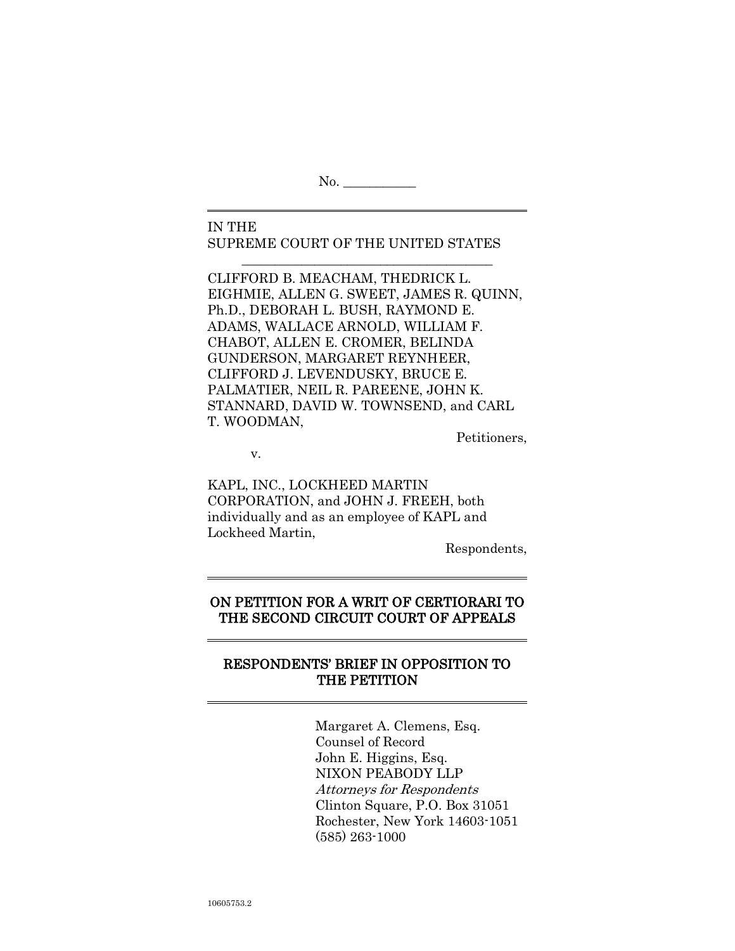No. \_\_\_\_\_\_\_\_\_\_\_

IN THE SUPREME COURT OF THE UNITED STATES

\_\_\_\_\_\_\_\_\_\_\_\_\_\_\_\_\_\_\_\_\_\_\_\_\_\_\_\_\_\_\_\_\_\_\_\_\_\_

CLIFFORD B. MEACHAM, THEDRICK L. EIGHMIE, ALLEN G. SWEET, JAMES R. QUINN, Ph.D., DEBORAH L. BUSH, RAYMOND E. ADAMS, WALLACE ARNOLD, WILLIAM F. CHABOT, ALLEN E. CROMER, BELINDA GUNDERSON, MARGARET REYNHEER, CLIFFORD J. LEVENDUSKY, BRUCE E. PALMATIER, NEIL R. PAREENE, JOHN K. STANNARD, DAVID W. TOWNSEND, and CARL T. WOODMAN,

Petitioners,

v.

KAPL, INC., LOCKHEED MARTIN CORPORATION, and JOHN J. FREEH, both individually and as an employee of KAPL and Lockheed Martin,

Respondents,

# ON PETITION FOR A WRIT OF CERTIORARI TO THE SECOND CIRCUIT COURT OF APPEALS

# RESPONDENTS" BRIEF IN OPPOSITION TO THE PETITION

Margaret A. Clemens, Esq. Counsel of Record John E. Higgins, Esq. NIXON PEABODY LLP Attorneys for Respondents Clinton Square, P.O. Box 31051 Rochester, New York 14603-1051 (585) 263-1000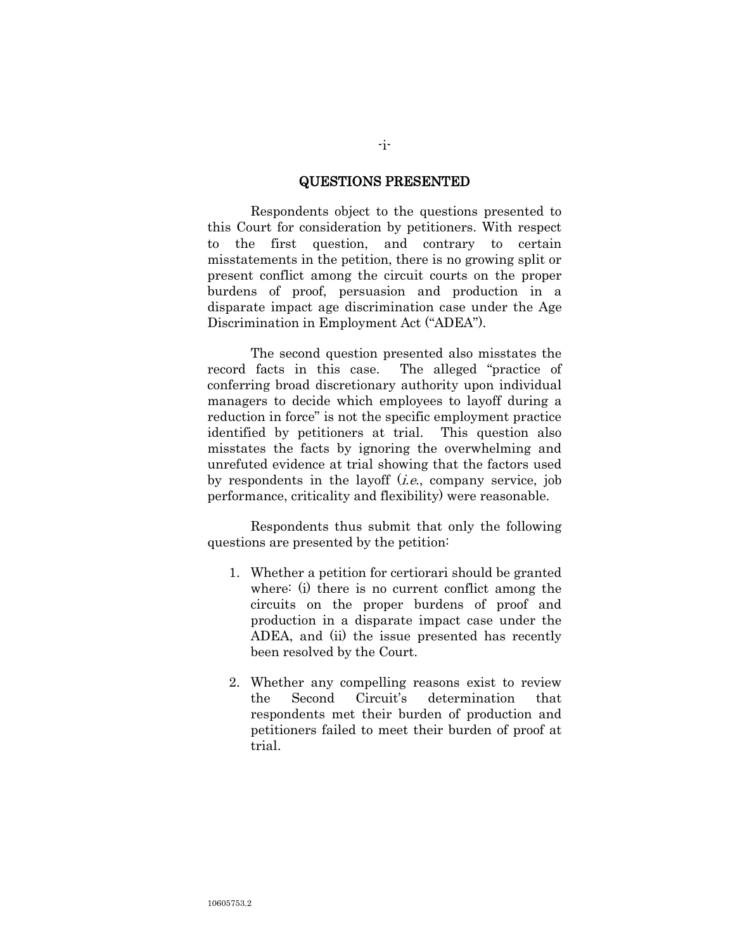#### QUESTIONS PRESENTED

Respondents object to the questions presented to this Court for consideration by petitioners. With respect to the first question, and contrary to certain misstatements in the petition, there is no growing split or present conflict among the circuit courts on the proper burdens of proof, persuasion and production in a disparate impact age discrimination case under the Age Discrimination in Employment Act ("ADEA").

The second question presented also misstates the record facts in this case. The alleged "practice of conferring broad discretionary authority upon individual managers to decide which employees to layoff during a reduction in force" is not the specific employment practice identified by petitioners at trial. This question also misstates the facts by ignoring the overwhelming and unrefuted evidence at trial showing that the factors used by respondents in the layoff  $(i.e.,$  company service, job performance, criticality and flexibility) were reasonable.

Respondents thus submit that only the following questions are presented by the petition:

- 1. Whether a petition for certiorari should be granted where: (i) there is no current conflict among the circuits on the proper burdens of proof and production in a disparate impact case under the ADEA, and (ii) the issue presented has recently been resolved by the Court.
- 2. Whether any compelling reasons exist to review the Second Circuit"s determination that respondents met their burden of production and petitioners failed to meet their burden of proof at trial.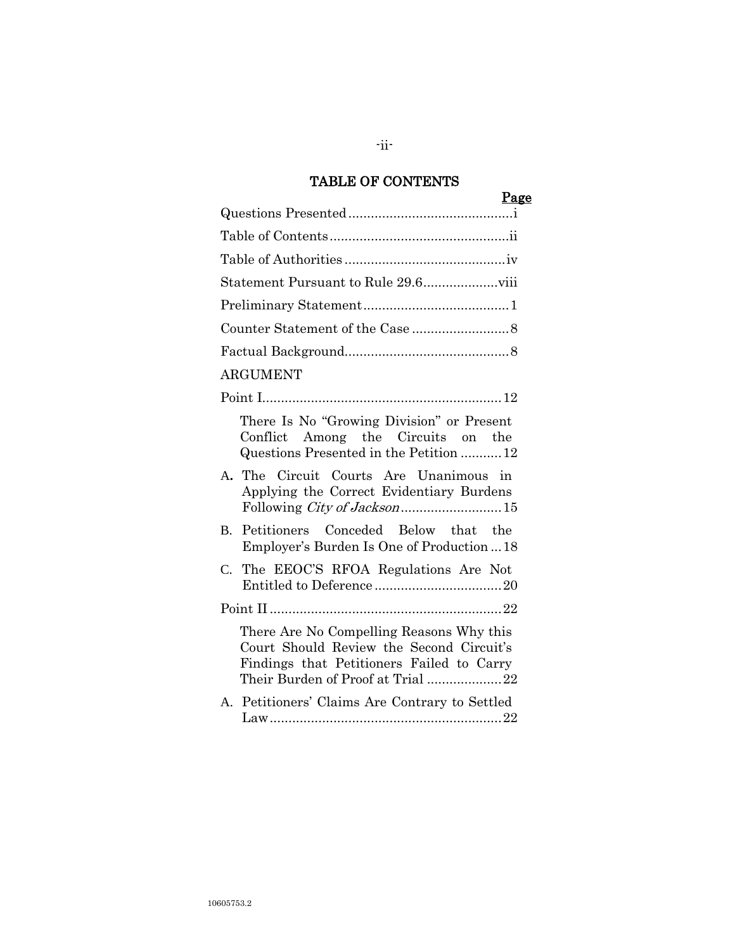# TABLE OF CONTENTS

|                 | Page |
|-----------------|------|
|                 |      |
|                 |      |
|                 |      |
|                 |      |
|                 |      |
|                 |      |
|                 |      |
| <b>ARGUMENT</b> |      |
|                 |      |

| There Is No "Growing Division" or Present<br>Conflict Among the Circuits on the<br>Questions Presented in the Petition  12                                             |
|------------------------------------------------------------------------------------------------------------------------------------------------------------------------|
| A. The Circuit Courts Are Unanimous in<br>Applying the Correct Evidentiary Burdens                                                                                     |
| B. Petitioners Conceded Below that the<br>Employer's Burden Is One of Production  18                                                                                   |
| C. The EEOC'S RFOA Regulations Are Not                                                                                                                                 |
|                                                                                                                                                                        |
| There Are No Compelling Reasons Why this<br>Court Should Review the Second Circuit's<br>Findings that Petitioners Failed to Carry<br>Their Burden of Proof at Trial 22 |
| A. Petitioners' Claims Are Contrary to Settled                                                                                                                         |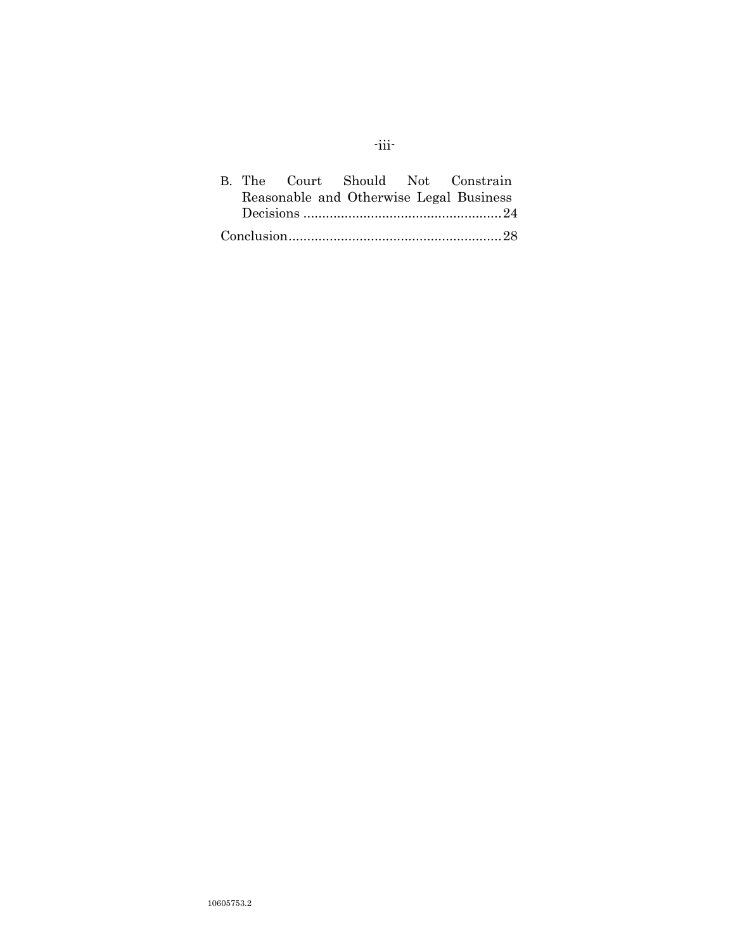|  |  | B. The Court Should Not Constrain       |
|--|--|-----------------------------------------|
|  |  | Reasonable and Otherwise Legal Business |
|  |  |                                         |
|  |  |                                         |

# -iii-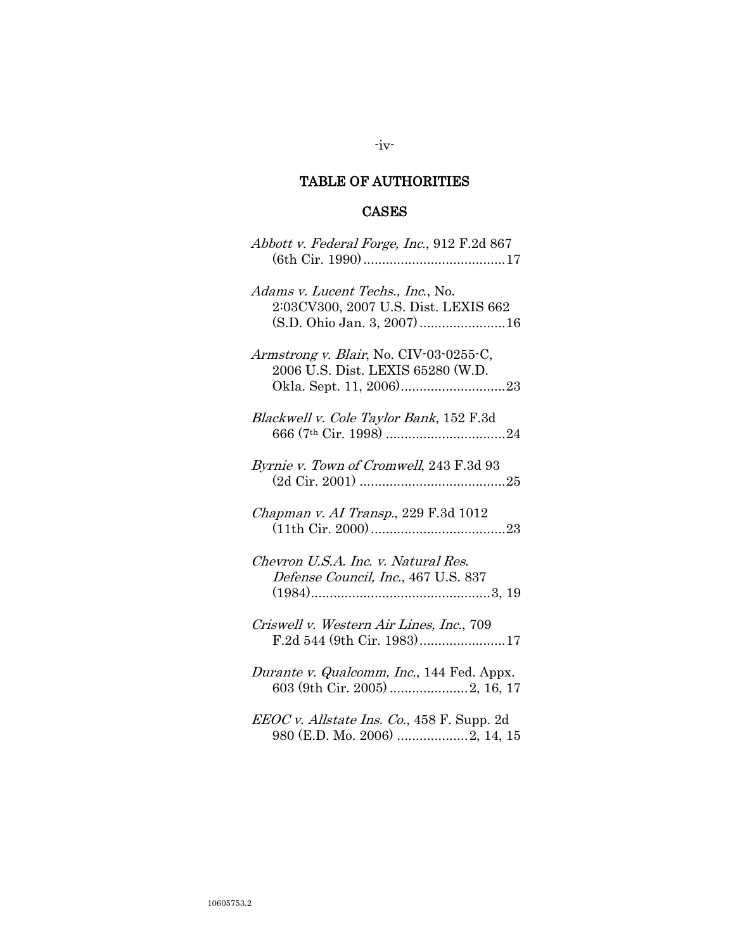# TABLE OF AUTHORITIES

-iv-

# CASES

| Abbott v. Federal Forge, Inc., 912 F.2d 867                                                             |
|---------------------------------------------------------------------------------------------------------|
| Adams v. Lucent Techs., Inc., No.<br>2:03CV300, 2007 U.S. Dist. LEXIS 662<br>(S.D. Ohio Jan. 3, 2007)16 |
| Armstrong v. Blair, No. CIV-03-0255-C,<br>2006 U.S. Dist. LEXIS 65280 (W.D.                             |
| Blackwell v. Cole Taylor Bank, 152 F.3d                                                                 |
| Byrnie v. Town of Cromwell, 243 F.3d 93                                                                 |
| Chapman v. AI Transp., 229 F.3d 1012                                                                    |
| Chevron U.S.A. Inc. v. Natural Res.<br>Defense Council, Inc., 467 U.S. 837                              |
| Criswell v. Western Air Lines, Inc., 709<br>F.2d 544 (9th Cir. 1983)17                                  |
| Durante v. Qualcomm, Inc., 144 Fed. Appx.<br>603 (9th Cir. 2005)  2, 16, 17                             |
| EEOC v. Allstate Ins. Co., 458 F. Supp. 2d<br>980 (E.D. Mo. 2006) 2, 14, 15                             |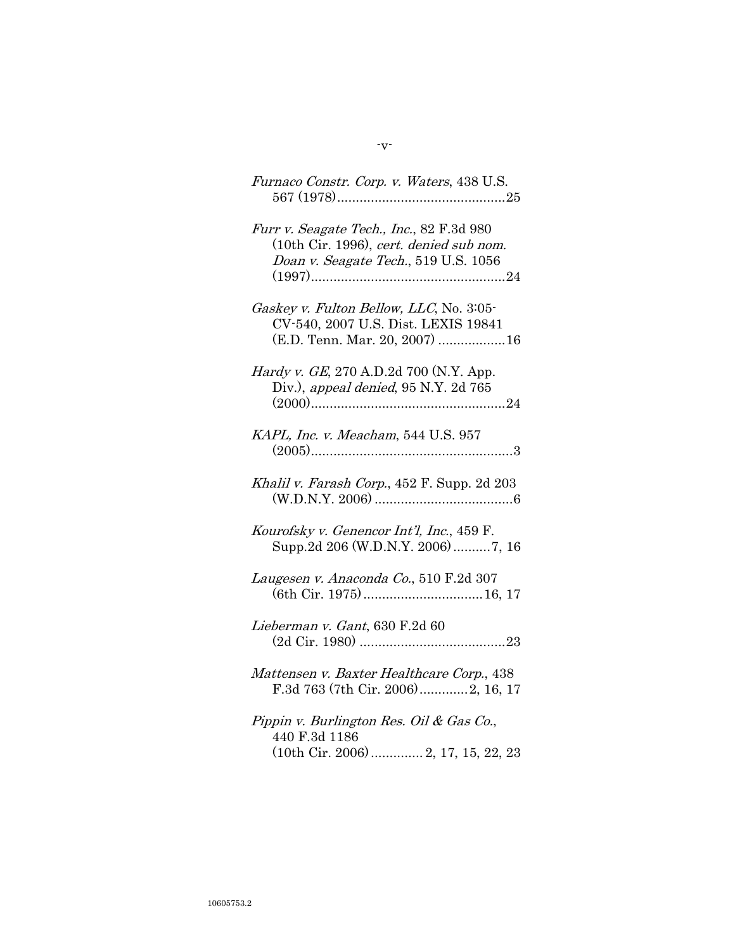| Furnaco Constr. Corp. v. Waters, 438 U.S.                                                                                   |
|-----------------------------------------------------------------------------------------------------------------------------|
| Furr v. Seagate Tech., Inc., 82 F.3d 980<br>(10th Cir. 1996), cert. denied sub nom.<br>Doan v. Seagate Tech., 519 U.S. 1056 |
| Gaskey v. Fulton Bellow, LLC, No. 3:05-<br>CV-540, 2007 U.S. Dist. LEXIS 19841<br>(E.D. Tenn. Mar. 20, 2007) 16             |
| <i>Hardy v. GE</i> , 270 A.D.2d 700 (N.Y. App.<br>Div.), appeal denied, 95 N.Y. 2d 765                                      |
| KAPL, Inc. v. Meacham, 544 U.S. 957                                                                                         |
| Khalil v. Farash Corp., 452 F. Supp. 2d 203                                                                                 |
| Kourofsky v. Genencor Int'l, Inc., 459 F.<br>Supp.2d 206 (W.D.N.Y. 2006)7, 16                                               |
| Laugesen v. Anaconda Co., 510 F.2d 307                                                                                      |
| Lieberman v. Gant, 630 F.2d 60                                                                                              |
| Mattensen v. Baxter Healthcare Corp., 438<br>F.3d 763 (7th Cir. 2006)2, 16, 17                                              |
| Pippin v. Burlington Res. Oil & Gas Co.,<br>440 F.3d 1186                                                                   |

(10th Cir. 2006).............. 2, 17, 15, 22, 23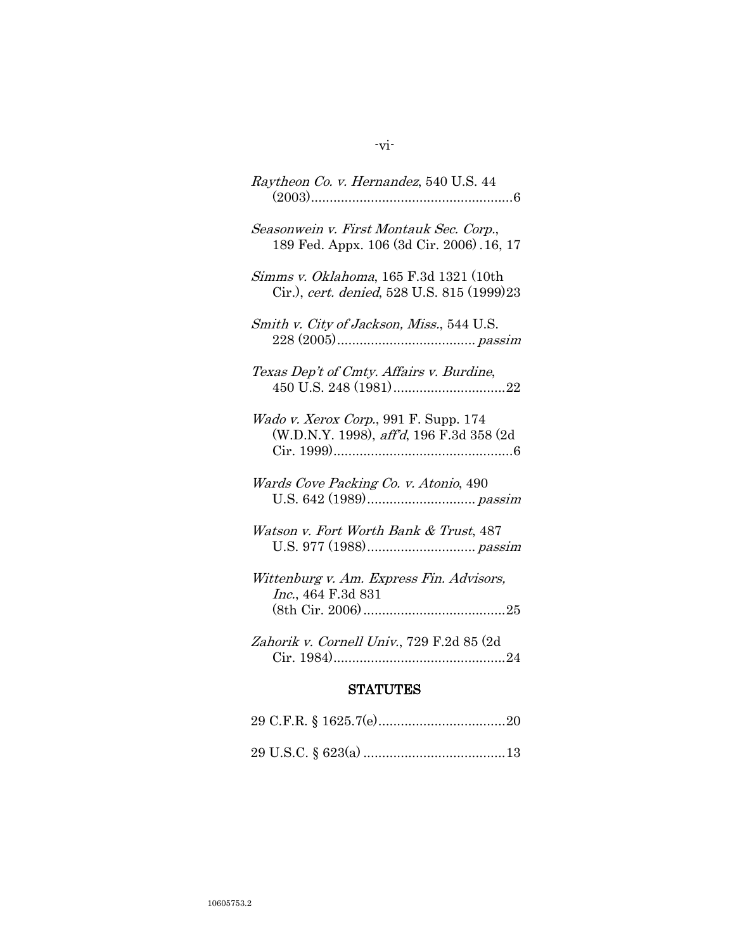| Raytheon Co. v. Hernandez, 540 U.S. 44                                               |  |  |
|--------------------------------------------------------------------------------------|--|--|
| Seasonwein v. First Montauk Sec. Corp.,<br>189 Fed. Appx. 106 (3d Cir. 2006). 16, 17 |  |  |
| Simms v. Oklahoma, 165 F.3d 1321 (10th<br>Cir.), cert. denied, 528 U.S. 815 (1999)23 |  |  |
| Smith v. City of Jackson, Miss., 544 U.S.                                            |  |  |
| Texas Dep't of Cmty. Affairs v. Burdine,                                             |  |  |
| Wado v. Xerox Corp., 991 F. Supp. 174<br>(W.D.N.Y. 1998), aff'd, 196 F.3d 358 (2d    |  |  |
| Wards Cove Packing Co. v. Atonio, 490                                                |  |  |
| Watson v. Fort Worth Bank & Trust, 487                                               |  |  |
| Wittenburg v. Am. Express Fin. Advisors,<br>Inc., 464 F.3d 831                       |  |  |
| Zahorik v. Cornell Univ., 729 F.2d 85 (2d                                            |  |  |
| <b>STATUTES</b>                                                                      |  |  |
| $99CFR$ $R$ 1 $6957O$<br>90                                                          |  |  |

# -vi-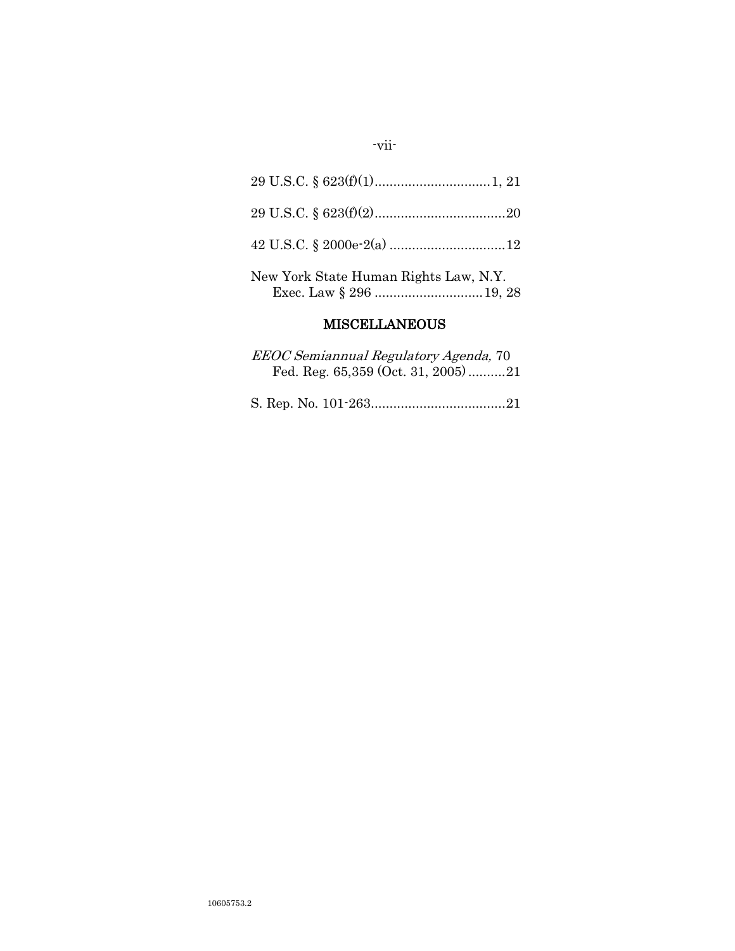| New York State Human Rights Law, N.Y. |
|---------------------------------------|

# MISCELLANEOUS

| <i>EEOC Semiannual Regulatory Agenda, 70</i> |  |
|----------------------------------------------|--|
| Fed. Reg. $65,359$ (Oct. 31, 2005)21         |  |

S. Rep. No. 101-263....................................21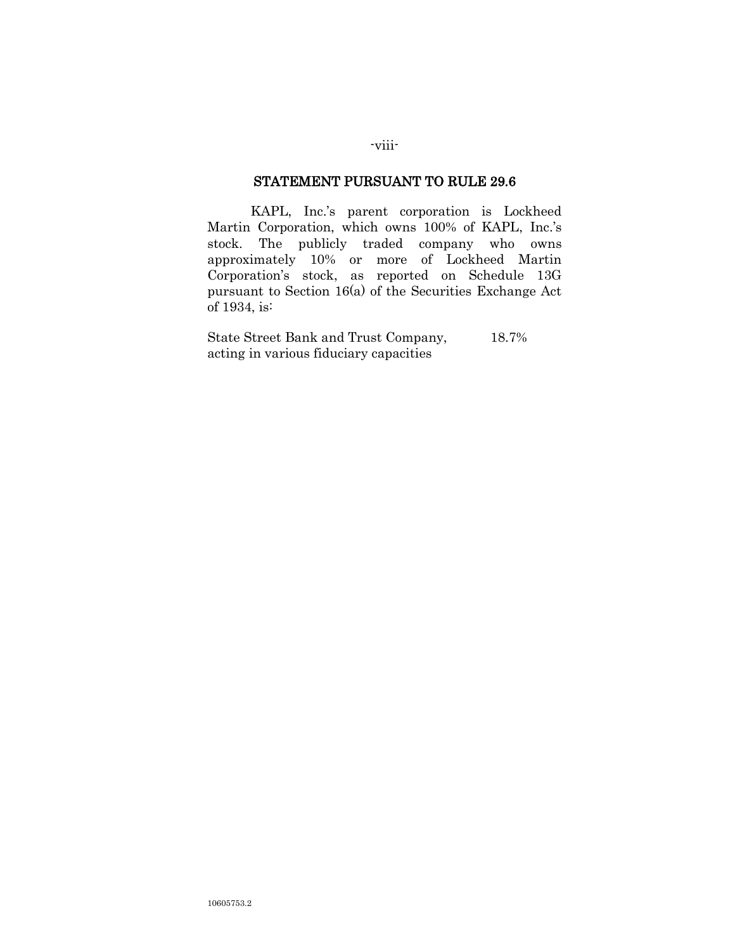### STATEMENT PURSUANT TO RULE 29.6

KAPL, Inc.'s parent corporation is Lockheed Martin Corporation, which owns 100% of KAPL, Inc.'s stock. The publicly traded company who owns approximately 10% or more of Lockheed Martin Corporation"s stock, as reported on Schedule 13G pursuant to Section 16(a) of the Securities Exchange Act of 1934, is:

State Street Bank and Trust Company, 18.7% acting in various fiduciary capacities

-viii-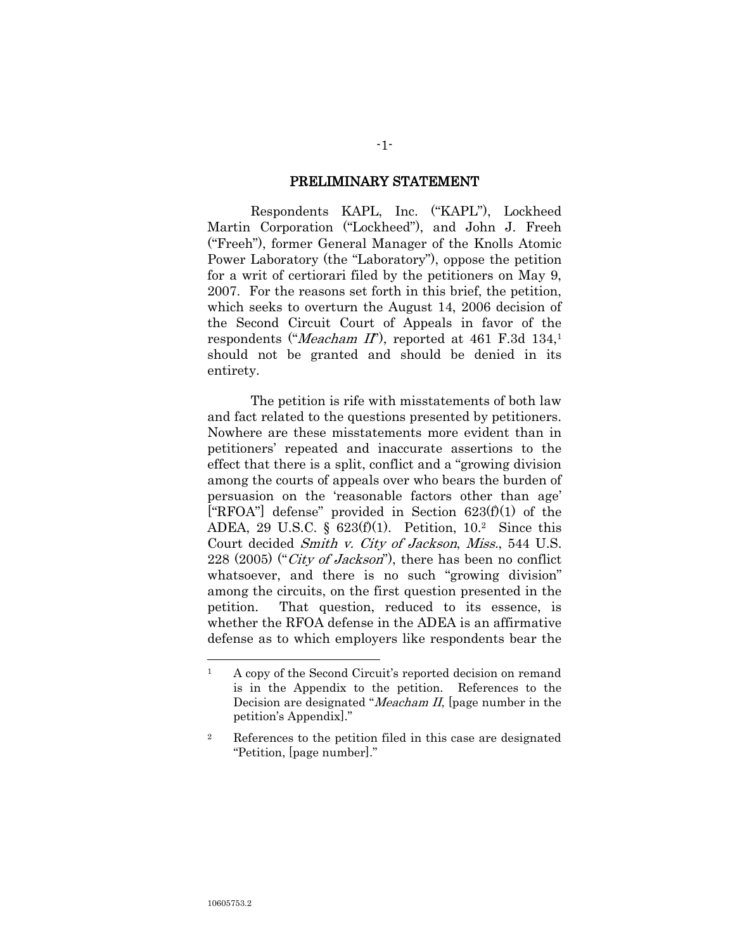#### PRELIMINARY STATEMENT

Respondents KAPL, Inc. ("KAPL"), Lockheed Martin Corporation ("Lockheed"), and John J. Freeh ("Freeh"), former General Manager of the Knolls Atomic Power Laboratory (the "Laboratory"), oppose the petition for a writ of certiorari filed by the petitioners on May 9, 2007. For the reasons set forth in this brief, the petition, which seeks to overturn the August 14, 2006 decision of the Second Circuit Court of Appeals in favor of the respondents ("*Meacham II*"), reported at 461 F.3d 134,<sup>1</sup> should not be granted and should be denied in its entirety.

The petition is rife with misstatements of both law and fact related to the questions presented by petitioners. Nowhere are these misstatements more evident than in petitioners" repeated and inaccurate assertions to the effect that there is a split, conflict and a "growing division among the courts of appeals over who bears the burden of persuasion on the "reasonable factors other than age" ["RFOA"] defense" provided in Section  $623(f)(1)$  of the ADEA, 29 U.S.C. §  $623(f)(1)$ . Petition,  $10.<sup>2</sup>$  Since this Court decided Smith v. City of Jackson, Miss., 544 U.S. 228 (2005) ("City of Jackson"), there has been no conflict whatsoever, and there is no such "growing division" among the circuits, on the first question presented in the petition. That question, reduced to its essence, is whether the RFOA defense in the ADEA is an affirmative defense as to which employers like respondents bear the

 $\overline{a}$ 

<sup>&</sup>lt;sup>1</sup> A copy of the Second Circuit's reported decision on remand is in the Appendix to the petition. References to the Decision are designated "Meacham II, [page number in the petition"s Appendix]."

<sup>2</sup> References to the petition filed in this case are designated "Petition, [page number]."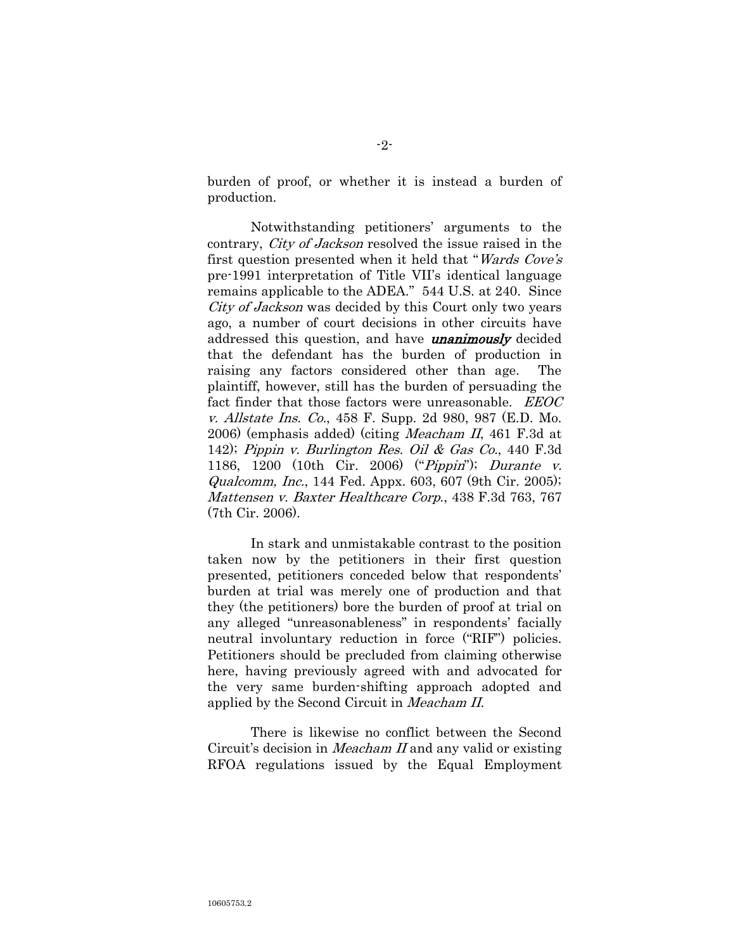burden of proof, or whether it is instead a burden of production.

Notwithstanding petitioners" arguments to the contrary, City of Jackson resolved the issue raised in the first question presented when it held that "Wards Cove's pre-1991 interpretation of Title VII"s identical language remains applicable to the ADEA." 544 U.S. at 240. Since City of Jackson was decided by this Court only two years ago, a number of court decisions in other circuits have addressed this question, and have **unanimously** decided that the defendant has the burden of production in raising any factors considered other than age. The plaintiff, however, still has the burden of persuading the fact finder that those factors were unreasonable. *EEOC* v. Allstate Ins. Co., 458 F. Supp. 2d 980, 987 (E.D. Mo. 2006) (emphasis added) (citing Meacham II, 461 F.3d at 142); Pippin v. Burlington Res. Oil & Gas Co., 440 F.3d 1186, 1200 (10th Cir. 2006) ("Pippin"); Durante v. Qualcomm, Inc., 144 Fed. Appx. 603, 607 (9th Cir. 2005); Mattensen v. Baxter Healthcare Corp., 438 F.3d 763, 767 (7th Cir. 2006).

In stark and unmistakable contrast to the position taken now by the petitioners in their first question presented, petitioners conceded below that respondents" burden at trial was merely one of production and that they (the petitioners) bore the burden of proof at trial on any alleged "unreasonableness" in respondents' facially neutral involuntary reduction in force ("RIF") policies. Petitioners should be precluded from claiming otherwise here, having previously agreed with and advocated for the very same burden-shifting approach adopted and applied by the Second Circuit in Meacham II.

There is likewise no conflict between the Second Circuit's decision in *Meacham II* and any valid or existing RFOA regulations issued by the Equal Employment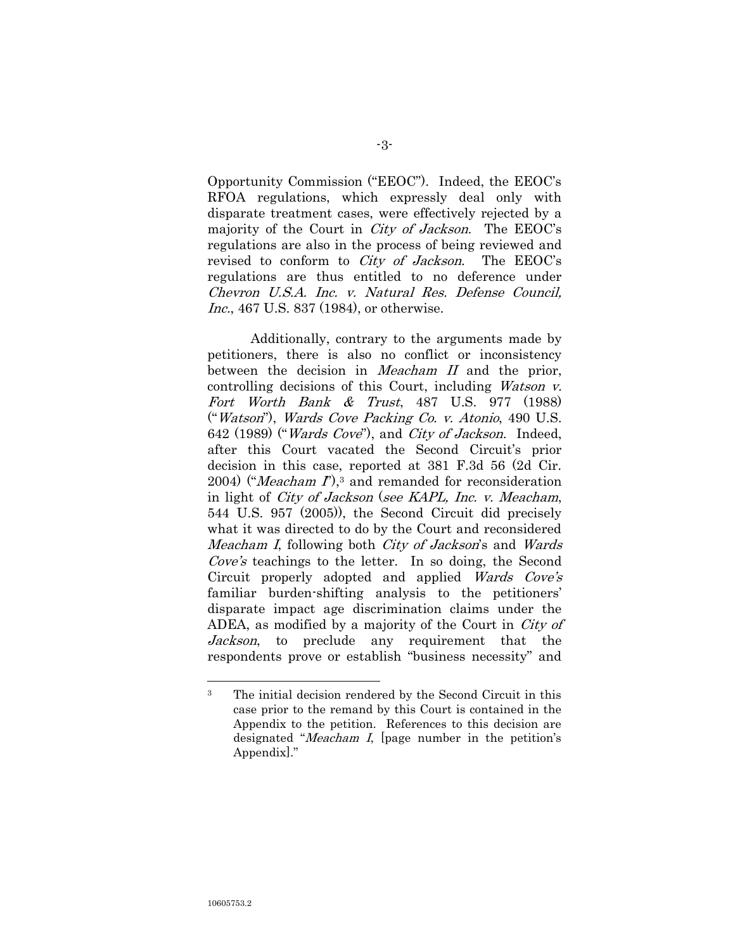Opportunity Commission ("EEOC"). Indeed, the EEOC"s RFOA regulations, which expressly deal only with disparate treatment cases, were effectively rejected by a majority of the Court in *City of Jackson*. The EEOC's regulations are also in the process of being reviewed and revised to conform to *City of Jackson*. The EEOC's regulations are thus entitled to no deference under Chevron U.S.A. Inc. v. Natural Res. Defense Council, Inc., 467 U.S. 837 (1984), or otherwise.

Additionally, contrary to the arguments made by petitioners, there is also no conflict or inconsistency between the decision in *Meacham II* and the prior, controlling decisions of this Court, including Watson v. Fort Worth Bank & Trust, 487 U.S. 977 (1988) ("Watson"), Wards Cove Packing Co. v. Atonio, 490 U.S. 642 (1989) ("*Wards Cove*"), and *City of Jackson*. Indeed, after this Court vacated the Second Circuit's prior decision in this case, reported at 381 F.3d 56 (2d Cir. 2004) ("Meacham  $I$ "),<sup>3</sup> and remanded for reconsideration in light of *City of Jackson* (see KAPL, Inc. v. Meacham, 544 U.S. 957 (2005)), the Second Circuit did precisely what it was directed to do by the Court and reconsidered Meacham I, following both *City of Jackson*'s and *Wards* Cove's teachings to the letter. In so doing, the Second Circuit properly adopted and applied Wards Cove's familiar burden-shifting analysis to the petitioners' disparate impact age discrimination claims under the ADEA, as modified by a majority of the Court in *City of* Jackson, to preclude any requirement that the respondents prove or establish "business necessity" and

 $\overline{a}$ 

<sup>&</sup>lt;sup>3</sup> The initial decision rendered by the Second Circuit in this case prior to the remand by this Court is contained in the Appendix to the petition. References to this decision are designated "*Meacham I*, [page number in the petition's Appendix]."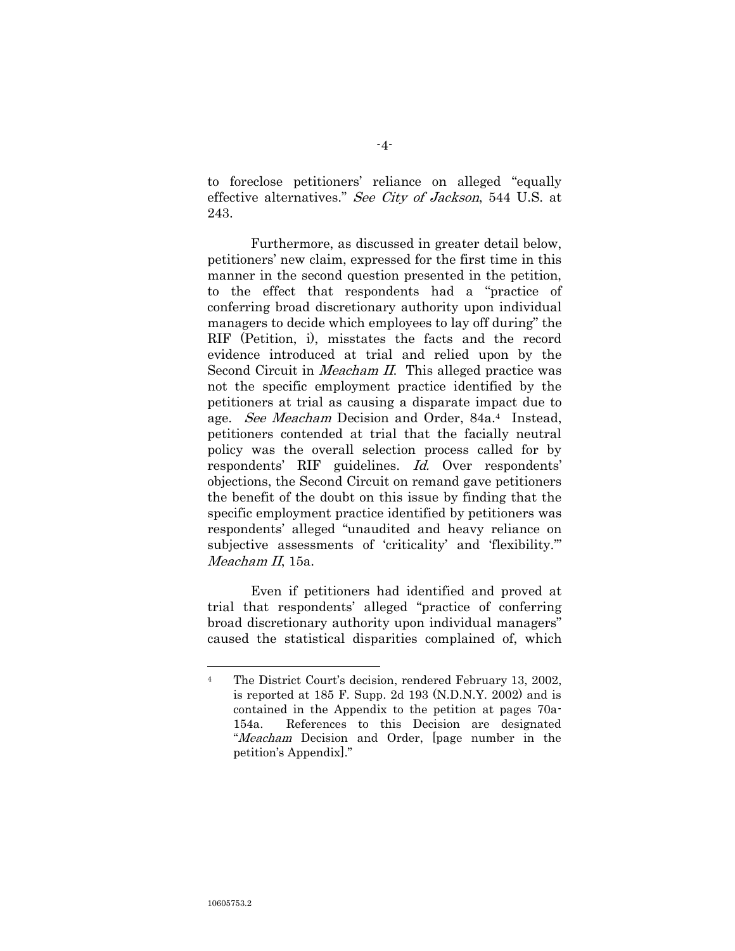to foreclose petitioners" reliance on alleged "equally effective alternatives." See City of Jackson, 544 U.S. at 243.

Furthermore, as discussed in greater detail below, petitioners" new claim, expressed for the first time in this manner in the second question presented in the petition, to the effect that respondents had a "practice of conferring broad discretionary authority upon individual managers to decide which employees to lay off during" the RIF (Petition, i), misstates the facts and the record evidence introduced at trial and relied upon by the Second Circuit in *Meacham II*. This alleged practice was not the specific employment practice identified by the petitioners at trial as causing a disparate impact due to age. See Meacham Decision and Order, 84a.<sup>4</sup> Instead, petitioners contended at trial that the facially neutral policy was the overall selection process called for by respondents' RIF guidelines. Id. Over respondents' objections, the Second Circuit on remand gave petitioners the benefit of the doubt on this issue by finding that the specific employment practice identified by petitioners was respondents" alleged "unaudited and heavy reliance on subjective assessments of 'criticality' and 'flexibility." Meacham II, 15a.

Even if petitioners had identified and proved at trial that respondents" alleged "practice of conferring broad discretionary authority upon individual managers" caused the statistical disparities complained of, which

 $\overline{a}$ 

<sup>&</sup>lt;sup>4</sup> The District Court's decision, rendered February 13, 2002, is reported at 185 F. Supp. 2d 193 (N.D.N.Y. 2002) and is contained in the Appendix to the petition at pages 70a-154a. References to this Decision are designated "Meacham Decision and Order, [page number in the petition"s Appendix]."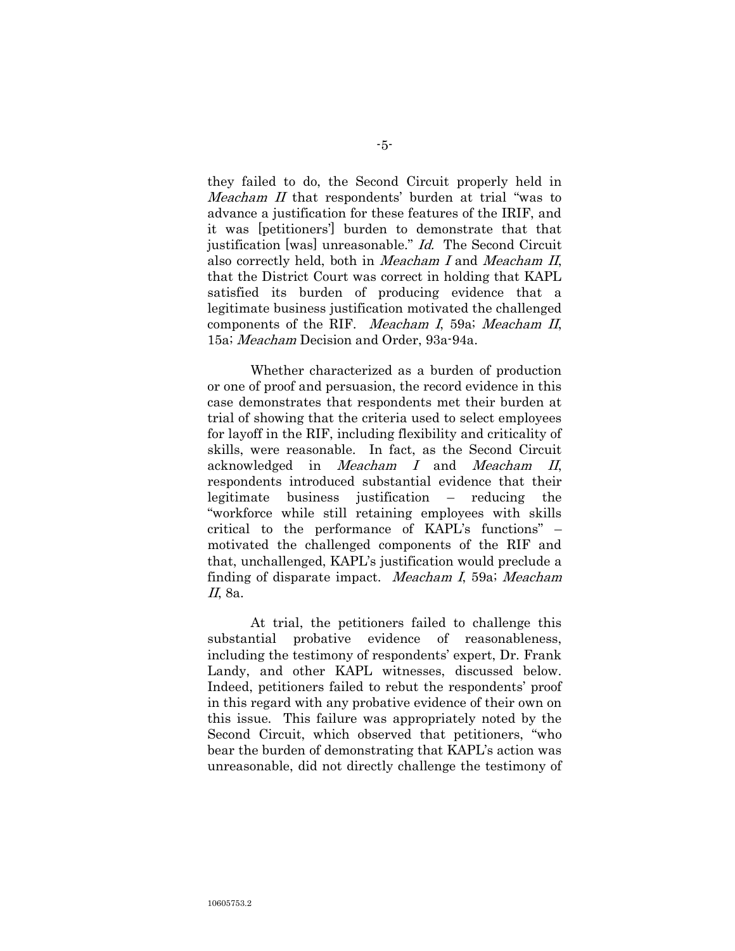they failed to do, the Second Circuit properly held in Meacham II that respondents' burden at trial "was to advance a justification for these features of the IRIF, and it was [petitioners"] burden to demonstrate that that justification [was] unreasonable." Id. The Second Circuit also correctly held, both in Meacham I and Meacham II, that the District Court was correct in holding that KAPL satisfied its burden of producing evidence that a legitimate business justification motivated the challenged components of the RIF. Meacham I, 59a; Meacham II, 15a; Meacham Decision and Order, 93a-94a.

Whether characterized as a burden of production or one of proof and persuasion, the record evidence in this case demonstrates that respondents met their burden at trial of showing that the criteria used to select employees for layoff in the RIF, including flexibility and criticality of skills, were reasonable. In fact, as the Second Circuit acknowledged in Meacham I and Meacham II, respondents introduced substantial evidence that their legitimate business justification – reducing the "workforce while still retaining employees with skills critical to the performance of  $KAPL's$  functions"  $$ motivated the challenged components of the RIF and that, unchallenged, KAPL's justification would preclude a finding of disparate impact. Meacham I, 59a; Meacham II, 8a.

At trial, the petitioners failed to challenge this substantial probative evidence of reasonableness, including the testimony of respondents' expert, Dr. Frank Landy, and other KAPL witnesses, discussed below. Indeed, petitioners failed to rebut the respondents' proof in this regard with any probative evidence of their own on this issue. This failure was appropriately noted by the Second Circuit, which observed that petitioners, "who bear the burden of demonstrating that KAPL's action was unreasonable, did not directly challenge the testimony of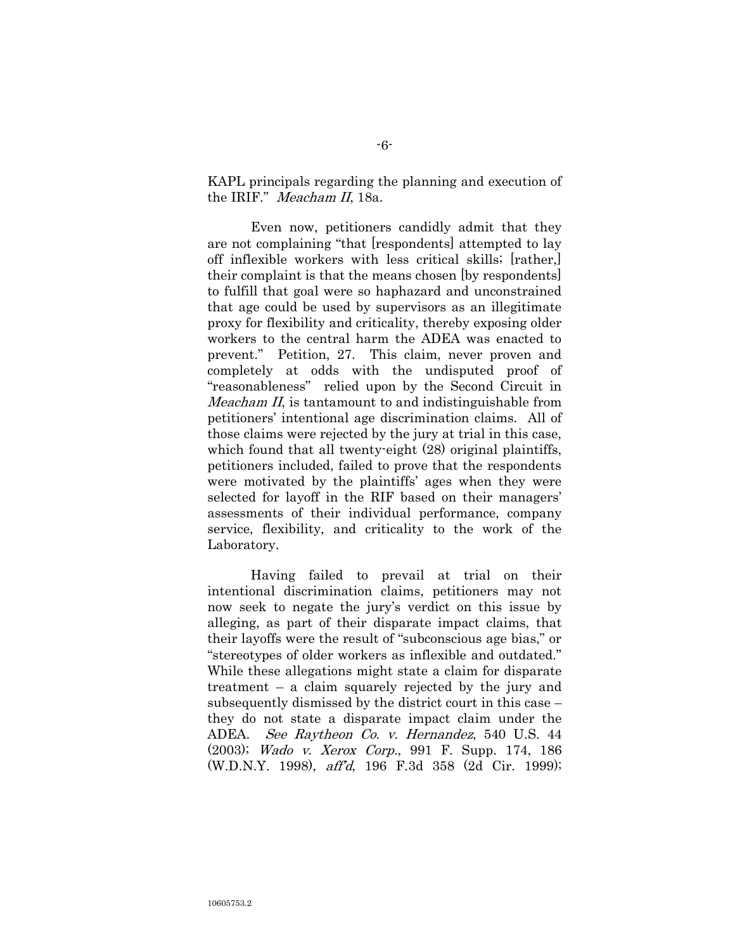KAPL principals regarding the planning and execution of the IRIF." Meacham II, 18a.

Even now, petitioners candidly admit that they are not complaining "that [respondents] attempted to lay off inflexible workers with less critical skills; [rather,] their complaint is that the means chosen [by respondents] to fulfill that goal were so haphazard and unconstrained that age could be used by supervisors as an illegitimate proxy for flexibility and criticality, thereby exposing older workers to the central harm the ADEA was enacted to prevent." Petition, 27. This claim, never proven and completely at odds with the undisputed proof of "reasonableness" relied upon by the Second Circuit in Meacham II, is tantamount to and indistinguishable from petitioners" intentional age discrimination claims. All of those claims were rejected by the jury at trial in this case, which found that all twenty-eight (28) original plaintiffs, petitioners included, failed to prove that the respondents were motivated by the plaintiffs' ages when they were selected for layoff in the RIF based on their managers' assessments of their individual performance, company service, flexibility, and criticality to the work of the Laboratory.

Having failed to prevail at trial on their intentional discrimination claims, petitioners may not now seek to negate the jury"s verdict on this issue by alleging, as part of their disparate impact claims, that their layoffs were the result of "subconscious age bias," or "stereotypes of older workers as inflexible and outdated." While these allegations might state a claim for disparate treatment – a claim squarely rejected by the jury and subsequently dismissed by the district court in this case – they do not state a disparate impact claim under the ADEA. See Raytheon Co. v. Hernandez, 540 U.S. 44 (2003); Wado v. Xerox Corp., 991 F. Supp. 174, 186 (W.D.N.Y. 1998), aff"d, 196 F.3d 358 (2d Cir. 1999);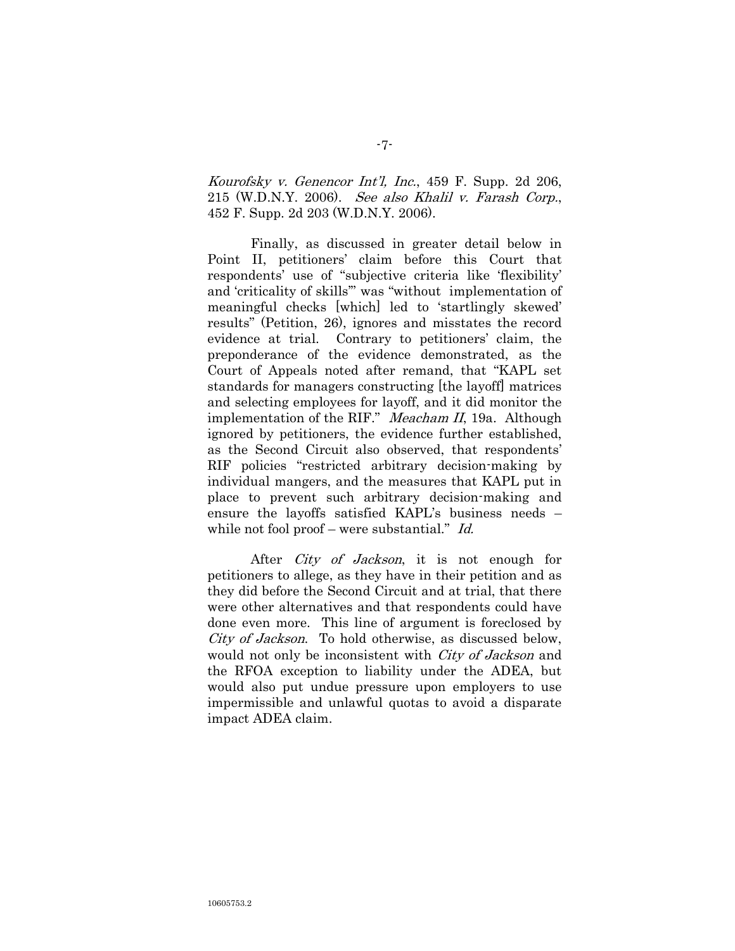Kourofsky v. Genencor Int'l, Inc.,  $459$  F. Supp. 2d 206, 215 (W.D.N.Y. 2006). See also Khalil v. Farash Corp., 452 F. Supp. 2d 203 (W.D.N.Y. 2006).

Finally, as discussed in greater detail below in Point II, petitioners" claim before this Court that respondents' use of "subjective criteria like 'flexibility' and "criticality of skills"" was "without implementation of meaningful checks [which] led to "startlingly skewed" results" (Petition, 26), ignores and misstates the record evidence at trial. Contrary to petitioners' claim, the preponderance of the evidence demonstrated, as the Court of Appeals noted after remand, that "KAPL set standards for managers constructing [the layoff] matrices and selecting employees for layoff, and it did monitor the implementation of the RIF." Meacham II, 19a. Although ignored by petitioners, the evidence further established, as the Second Circuit also observed, that respondents" RIF policies "restricted arbitrary decision-making by individual mangers, and the measures that KAPL put in place to prevent such arbitrary decision-making and ensure the layoffs satisfied KAPL's business needs – while not fool proof – were substantial." Id.

After *City of Jackson*, it is not enough for petitioners to allege, as they have in their petition and as they did before the Second Circuit and at trial, that there were other alternatives and that respondents could have done even more. This line of argument is foreclosed by City of Jackson. To hold otherwise, as discussed below, would not only be inconsistent with *City of Jackson* and the RFOA exception to liability under the ADEA, but would also put undue pressure upon employers to use impermissible and unlawful quotas to avoid a disparate impact ADEA claim.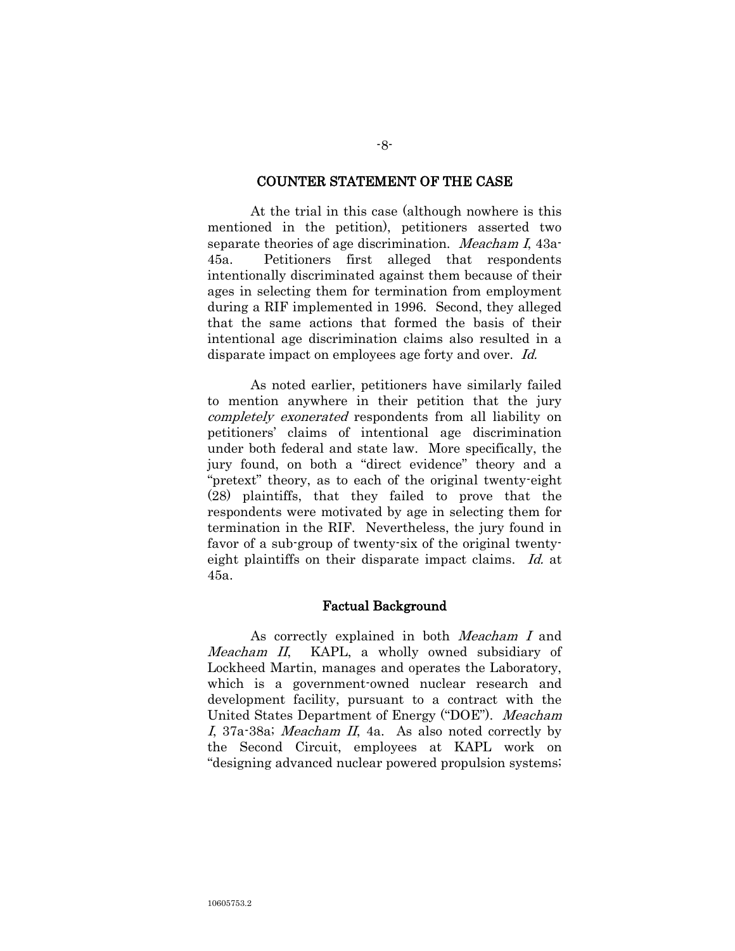#### COUNTER STATEMENT OF THE CASE

At the trial in this case (although nowhere is this mentioned in the petition), petitioners asserted two separate theories of age discrimination. *Meacham I*, 43a-45a. Petitioners first alleged that respondents intentionally discriminated against them because of their ages in selecting them for termination from employment during a RIF implemented in 1996. Second, they alleged that the same actions that formed the basis of their intentional age discrimination claims also resulted in a disparate impact on employees age forty and over. Id.

As noted earlier, petitioners have similarly failed to mention anywhere in their petition that the jury completely exonerated respondents from all liability on petitioners" claims of intentional age discrimination under both federal and state law. More specifically, the jury found, on both a "direct evidence" theory and a "pretext" theory, as to each of the original twenty-eight (28) plaintiffs, that they failed to prove that the respondents were motivated by age in selecting them for termination in the RIF. Nevertheless, the jury found in favor of a sub-group of twenty-six of the original twentyeight plaintiffs on their disparate impact claims. Id. at 45a.

#### Factual Background

As correctly explained in both Meacham I and Meacham II, KAPL, a wholly owned subsidiary of Lockheed Martin, manages and operates the Laboratory, which is a government-owned nuclear research and development facility, pursuant to a contract with the United States Department of Energy ("DOE"). Meacham I, 37a-38a; Meacham II, 4a. As also noted correctly by the Second Circuit, employees at KAPL work on "designing advanced nuclear powered propulsion systems;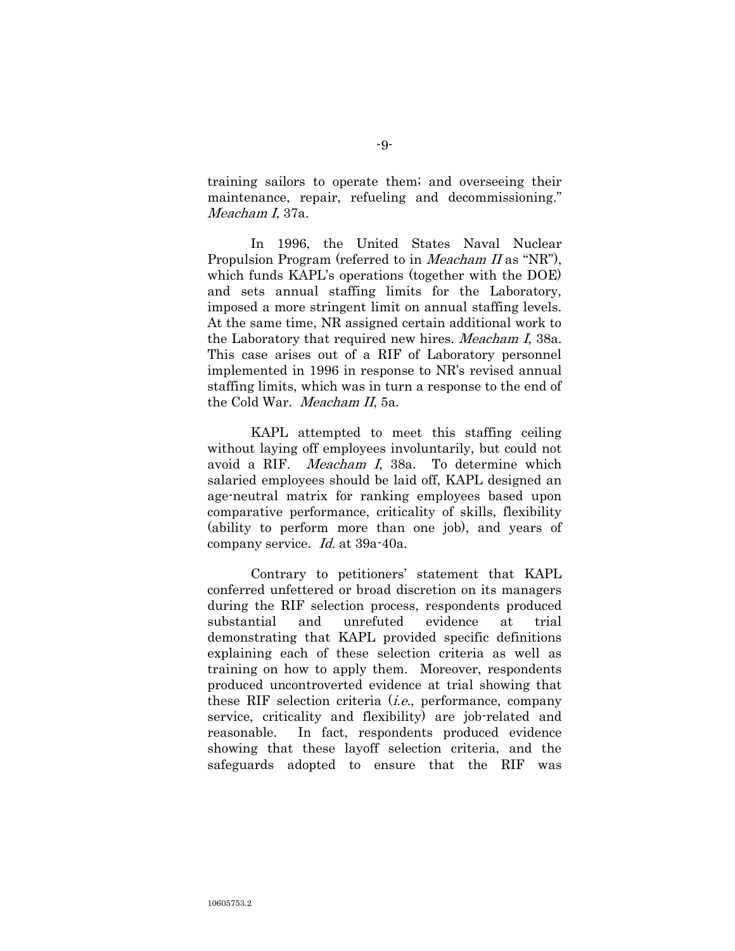training sailors to operate them; and overseeing their maintenance, repair, refueling and decommissioning." Meacham I, 37a.

In 1996, the United States Naval Nuclear Propulsion Program (referred to in *Meacham II* as "NR"), which funds KAPL's operations (together with the DOE) and sets annual staffing limits for the Laboratory, imposed a more stringent limit on annual staffing levels. At the same time, NR assigned certain additional work to the Laboratory that required new hires. *Meacham I*, 38a. This case arises out of a RIF of Laboratory personnel implemented in 1996 in response to NR"s revised annual staffing limits, which was in turn a response to the end of the Cold War. Meacham II, 5a.

KAPL attempted to meet this staffing ceiling without laying off employees involuntarily, but could not avoid a RIF. Meacham I, 38a. To determine which salaried employees should be laid off, KAPL designed an age-neutral matrix for ranking employees based upon comparative performance, criticality of skills, flexibility (ability to perform more than one job), and years of company service. Id. at 39a-40a.

Contrary to petitioners" statement that KAPL conferred unfettered or broad discretion on its managers during the RIF selection process, respondents produced substantial and unrefuted evidence at trial demonstrating that KAPL provided specific definitions explaining each of these selection criteria as well as training on how to apply them. Moreover, respondents produced uncontroverted evidence at trial showing that these RIF selection criteria  $(i.e.,$  performance, company service, criticality and flexibility) are job-related and reasonable. In fact, respondents produced evidence showing that these layoff selection criteria, and the safeguards adopted to ensure that the RIF was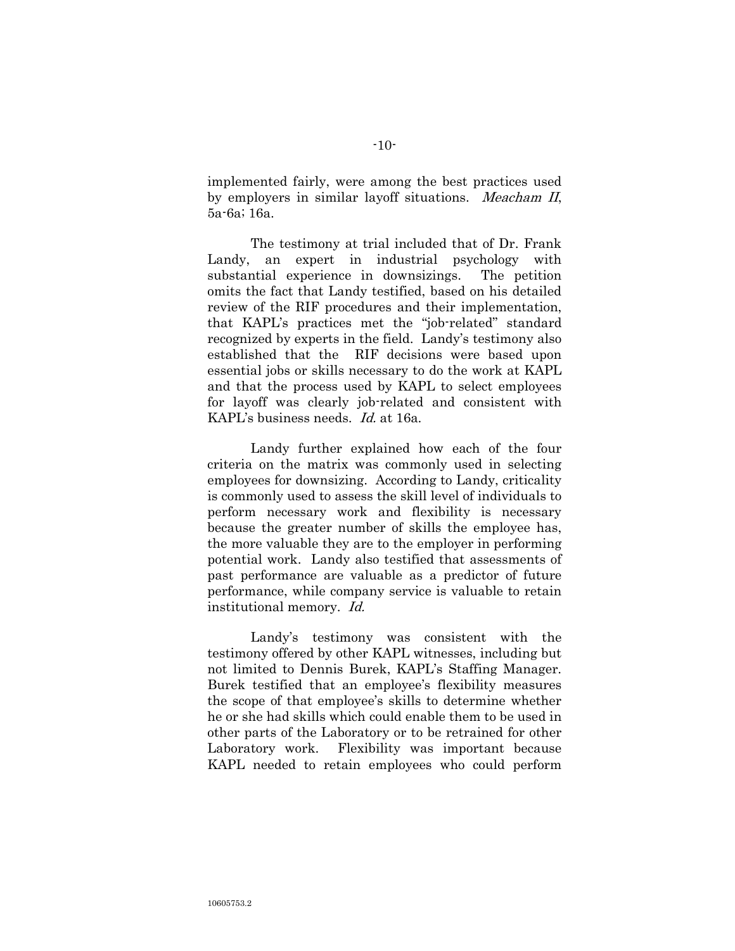implemented fairly, were among the best practices used by employers in similar layoff situations. Meacham II, 5a-6a; 16a.

The testimony at trial included that of Dr. Frank Landy, an expert in industrial psychology with substantial experience in downsizings. The petition omits the fact that Landy testified, based on his detailed review of the RIF procedures and their implementation, that KAPL's practices met the "job-related" standard recognized by experts in the field. Landy"s testimony also established that the RIF decisions were based upon essential jobs or skills necessary to do the work at KAPL and that the process used by KAPL to select employees for layoff was clearly job-related and consistent with KAPL's business needs. Id. at 16a.

Landy further explained how each of the four criteria on the matrix was commonly used in selecting employees for downsizing. According to Landy, criticality is commonly used to assess the skill level of individuals to perform necessary work and flexibility is necessary because the greater number of skills the employee has, the more valuable they are to the employer in performing potential work. Landy also testified that assessments of past performance are valuable as a predictor of future performance, while company service is valuable to retain institutional memory. Id.

Landy"s testimony was consistent with the testimony offered by other KAPL witnesses, including but not limited to Dennis Burek, KAPL's Staffing Manager. Burek testified that an employee's flexibility measures the scope of that employee"s skills to determine whether he or she had skills which could enable them to be used in other parts of the Laboratory or to be retrained for other Laboratory work. Flexibility was important because KAPL needed to retain employees who could perform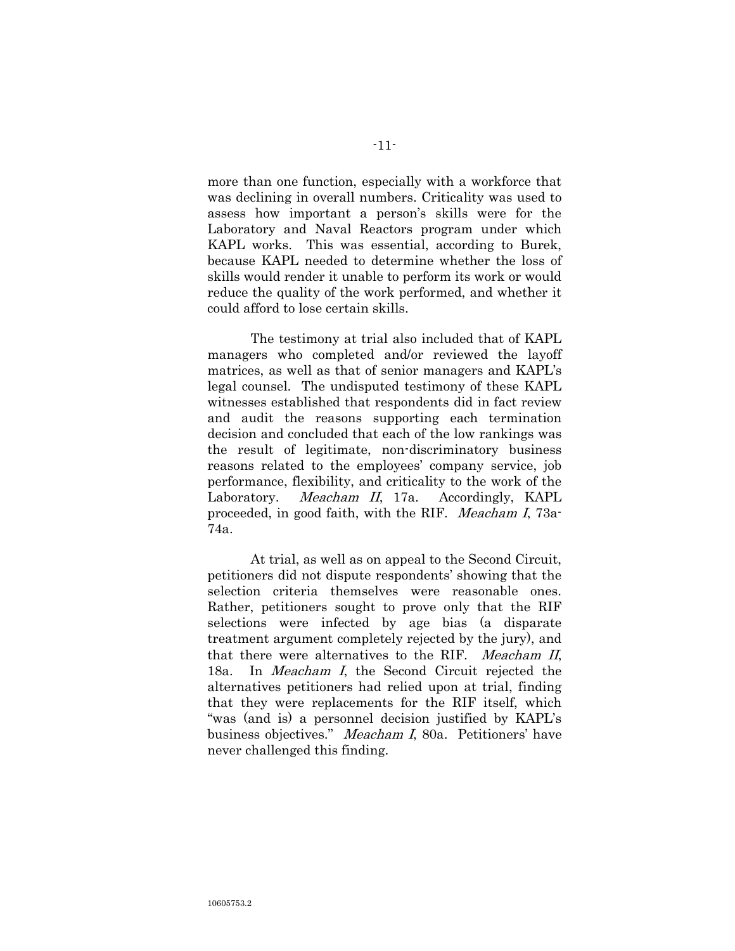more than one function, especially with a workforce that was declining in overall numbers. Criticality was used to assess how important a person's skills were for the Laboratory and Naval Reactors program under which KAPL works. This was essential, according to Burek, because KAPL needed to determine whether the loss of skills would render it unable to perform its work or would reduce the quality of the work performed, and whether it could afford to lose certain skills.

The testimony at trial also included that of KAPL managers who completed and/or reviewed the layoff matrices, as well as that of senior managers and KAPL's legal counsel. The undisputed testimony of these KAPL witnesses established that respondents did in fact review and audit the reasons supporting each termination decision and concluded that each of the low rankings was the result of legitimate, non-discriminatory business reasons related to the employees' company service, job performance, flexibility, and criticality to the work of the Laboratory. *Meacham II*, 17a. Accordingly, KAPL proceeded, in good faith, with the RIF. Meacham I, 73a-74a.

At trial, as well as on appeal to the Second Circuit, petitioners did not dispute respondents" showing that the selection criteria themselves were reasonable ones. Rather, petitioners sought to prove only that the RIF selections were infected by age bias (a disparate treatment argument completely rejected by the jury), and that there were alternatives to the RIF. Meacham II, 18a. In Meacham I, the Second Circuit rejected the alternatives petitioners had relied upon at trial, finding that they were replacements for the RIF itself, which "was (and is) a personnel decision justified by KAPL"s business objectives." Meacham I, 80a. Petitioners' have never challenged this finding.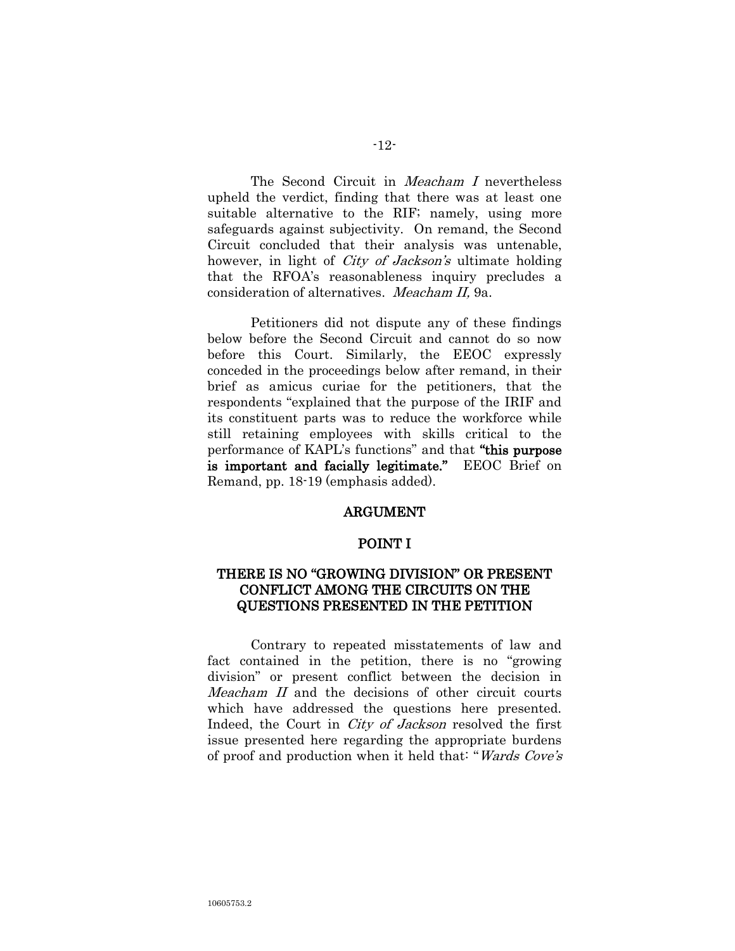The Second Circuit in *Meacham I* nevertheless upheld the verdict, finding that there was at least one suitable alternative to the RIF; namely, using more safeguards against subjectivity. On remand, the Second Circuit concluded that their analysis was untenable, however, in light of *City of Jackson's* ultimate holding that the RFOA"s reasonableness inquiry precludes a consideration of alternatives. Meacham II, 9a.

Petitioners did not dispute any of these findings below before the Second Circuit and cannot do so now before this Court. Similarly, the EEOC expressly conceded in the proceedings below after remand, in their brief as amicus curiae for the petitioners, that the respondents "explained that the purpose of the IRIF and its constituent parts was to reduce the workforce while still retaining employees with skills critical to the performance of KAPL's functions" and that "this purpose is important and facially legitimate." EEOC Brief on Remand, pp. 18-19 (emphasis added).

#### ARGUMENT

#### POINT I

# THERE IS NO "GROWING DIVISION" OR PRESENT CONFLICT AMONG THE CIRCUITS ON THE QUESTIONS PRESENTED IN THE PETITION

Contrary to repeated misstatements of law and fact contained in the petition, there is no "growing division" or present conflict between the decision in Meacham II and the decisions of other circuit courts which have addressed the questions here presented. Indeed, the Court in City of Jackson resolved the first issue presented here regarding the appropriate burdens of proof and production when it held that: "Wards Cove's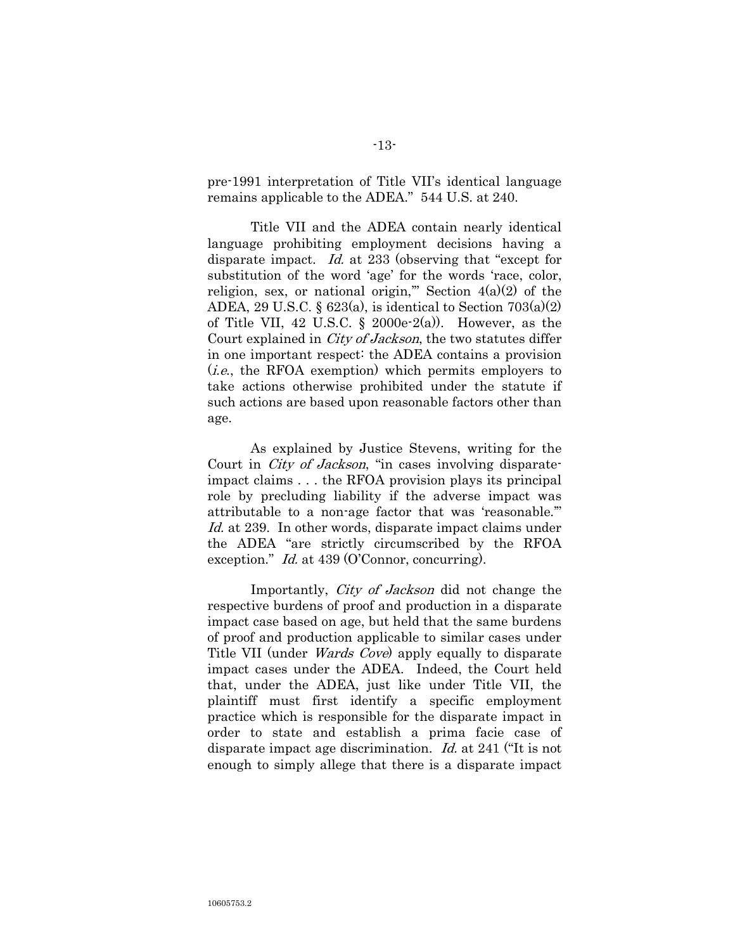pre-1991 interpretation of Title VII"s identical language remains applicable to the ADEA." 544 U.S. at 240.

Title VII and the ADEA contain nearly identical language prohibiting employment decisions having a disparate impact. Id. at 233 (observing that "except for substitution of the word 'age' for the words 'race, color, religion, sex, or national origin," Section  $4(a)(2)$  of the ADEA, 29 U.S.C.  $\S$  623(a), is identical to Section 703(a)(2) of Title VII, 42 U.S.C.  $\S$  2000e-2(a)). However, as the Court explained in City of Jackson, the two statutes differ in one important respect: the ADEA contains a provision (i.e., the RFOA exemption) which permits employers to take actions otherwise prohibited under the statute if such actions are based upon reasonable factors other than age.

As explained by Justice Stevens, writing for the Court in *City of Jackson*, "in cases involving disparateimpact claims . . . the RFOA provision plays its principal role by precluding liability if the adverse impact was attributable to a non-age factor that was "reasonable."" Id. at 239. In other words, disparate impact claims under the ADEA "are strictly circumscribed by the RFOA exception." *Id.* at 439 (O'Connor, concurring).

Importantly, City of Jackson did not change the respective burdens of proof and production in a disparate impact case based on age, but held that the same burdens of proof and production applicable to similar cases under Title VII (under *Wards Cove*) apply equally to disparate impact cases under the ADEA. Indeed, the Court held that, under the ADEA, just like under Title VII, the plaintiff must first identify a specific employment practice which is responsible for the disparate impact in order to state and establish a prima facie case of disparate impact age discrimination. Id. at 241 ("It is not enough to simply allege that there is a disparate impact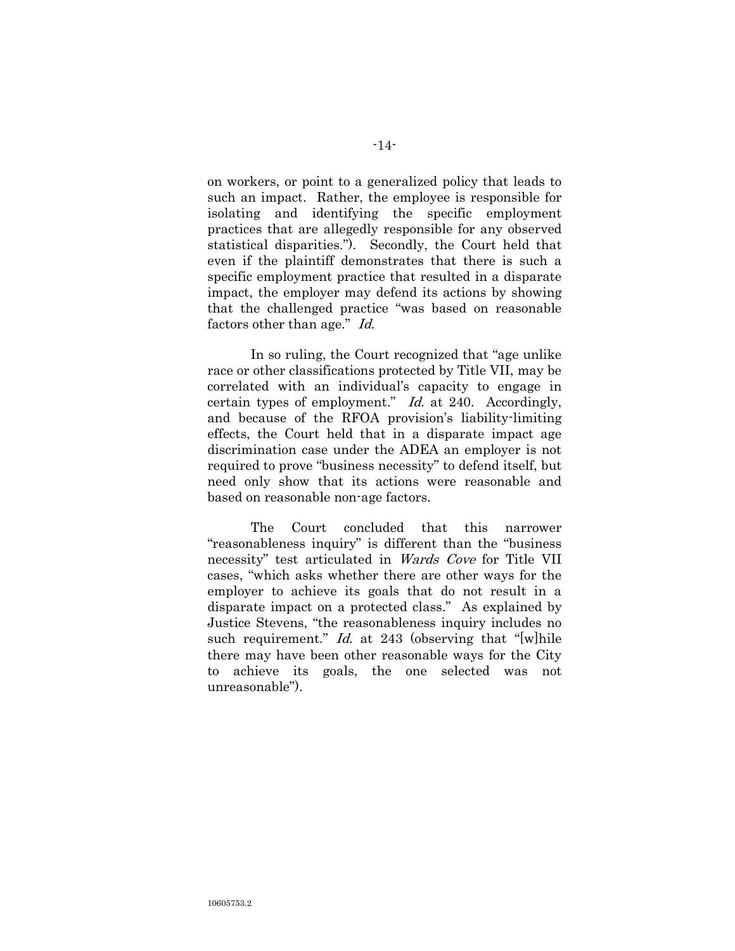on workers, or point to a generalized policy that leads to such an impact. Rather, the employee is responsible for isolating and identifying the specific employment practices that are allegedly responsible for any observed statistical disparities."). Secondly, the Court held that even if the plaintiff demonstrates that there is such a specific employment practice that resulted in a disparate impact, the employer may defend its actions by showing that the challenged practice "was based on reasonable factors other than age." Id.

In so ruling, the Court recognized that "age unlike race or other classifications protected by Title VII, may be correlated with an individual"s capacity to engage in certain types of employment." Id. at 240. Accordingly, and because of the RFOA provision"s liability-limiting effects, the Court held that in a disparate impact age discrimination case under the ADEA an employer is not required to prove "business necessity" to defend itself, but need only show that its actions were reasonable and based on reasonable non-age factors.

The Court concluded that this narrower "reasonableness inquiry" is different than the "business necessity" test articulated in Wards Cove for Title VII cases, "which asks whether there are other ways for the employer to achieve its goals that do not result in a disparate impact on a protected class." As explained by Justice Stevens, "the reasonableness inquiry includes no such requirement." *Id.* at 243 (observing that "[w]hile there may have been other reasonable ways for the City to achieve its goals, the one selected was not unreasonable").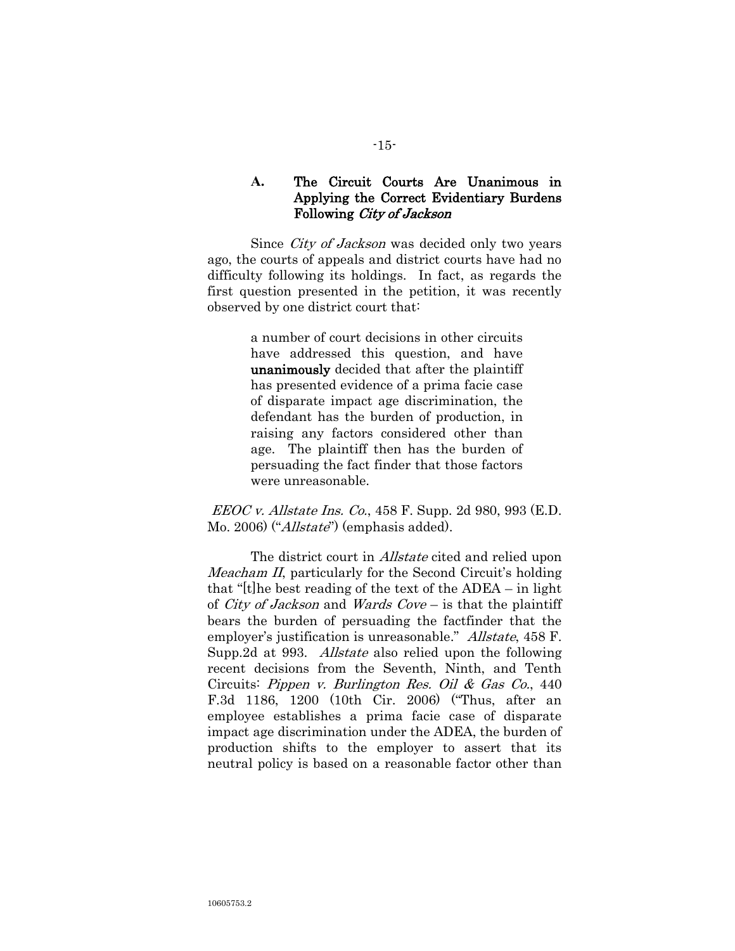## **A.** The Circuit Courts Are Unanimous in Applying the Correct Evidentiary Burdens Following City of Jackson

Since *City of Jackson* was decided only two years ago, the courts of appeals and district courts have had no difficulty following its holdings. In fact, as regards the first question presented in the petition, it was recently observed by one district court that:

> a number of court decisions in other circuits have addressed this question, and have unanimously decided that after the plaintiff has presented evidence of a prima facie case of disparate impact age discrimination, the defendant has the burden of production, in raising any factors considered other than age. The plaintiff then has the burden of persuading the fact finder that those factors were unreasonable.

EEOC v. Allstate Ins. Co., 458 F. Supp. 2d 980, 993 (E.D. Mo. 2006) ("*Allstate*") (emphasis added).

The district court in *Allstate* cited and relied upon Meacham II, particularly for the Second Circuit's holding that "[t]he best reading of the text of the ADEA – in light of *City of Jackson* and *Wards Cove* – is that the plaintiff bears the burden of persuading the factfinder that the employer's justification is unreasonable." Allstate, 458 F. Supp.2d at 993. Allstate also relied upon the following recent decisions from the Seventh, Ninth, and Tenth Circuits: Pippen v. Burlington Res. Oil & Gas Co., 440 F.3d 1186, 1200 (10th Cir. 2006) ("Thus, after an employee establishes a prima facie case of disparate impact age discrimination under the ADEA, the burden of production shifts to the employer to assert that its neutral policy is based on a reasonable factor other than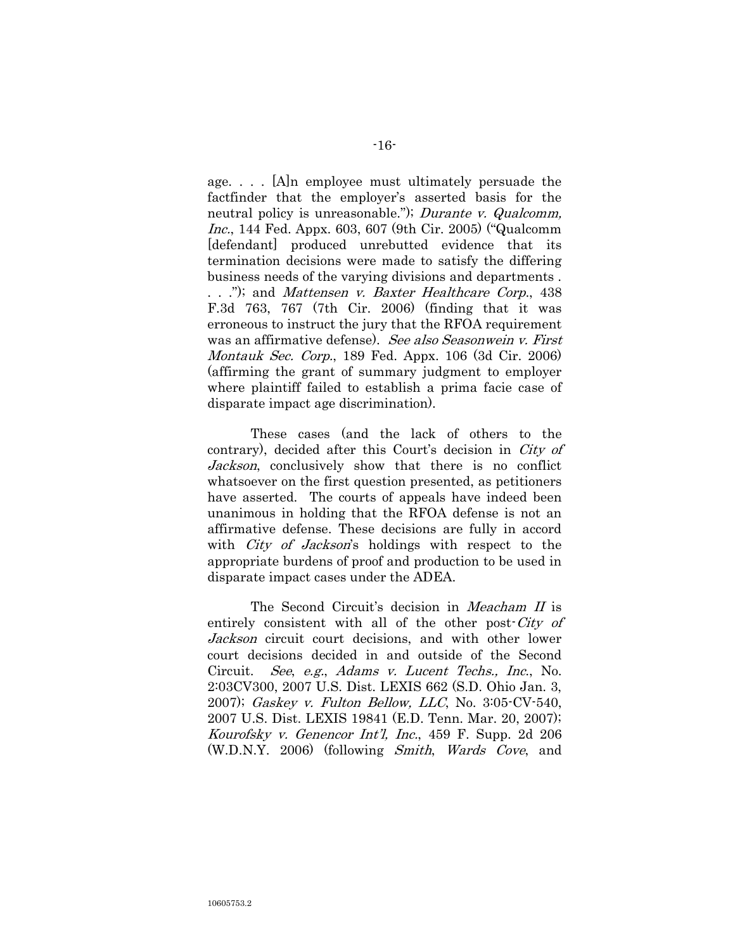age. . . . [A]n employee must ultimately persuade the factfinder that the employer's asserted basis for the neutral policy is unreasonable."); *Durante v. Qualcomm*, Inc., 144 Fed. Appx. 603, 607 (9th Cir. 2005) ("Qualcomm [defendant] produced unrebutted evidence that its termination decisions were made to satisfy the differing business needs of the varying divisions and departments . . . ."); and Mattensen v. Baxter Healthcare Corp., 438 F.3d 763, 767 (7th Cir. 2006) (finding that it was erroneous to instruct the jury that the RFOA requirement was an affirmative defense). See also Seasonwein v. First Montauk Sec. Corp., 189 Fed. Appx. 106 (3d Cir. 2006) (affirming the grant of summary judgment to employer where plaintiff failed to establish a prima facie case of disparate impact age discrimination).

These cases (and the lack of others to the contrary), decided after this Court's decision in City of Jackson, conclusively show that there is no conflict whatsoever on the first question presented, as petitioners have asserted. The courts of appeals have indeed been unanimous in holding that the RFOA defense is not an affirmative defense. These decisions are fully in accord with *City of Jackson's* holdings with respect to the appropriate burdens of proof and production to be used in disparate impact cases under the ADEA.

The Second Circuit's decision in Meacham II is entirely consistent with all of the other post-City of Jackson circuit court decisions, and with other lower court decisions decided in and outside of the Second Circuit. See, e.g., Adams v. Lucent Techs., Inc., No. 2:03CV300, 2007 U.S. Dist. LEXIS 662 (S.D. Ohio Jan. 3, 2007); Gaskey v. Fulton Bellow, LLC, No. 3:05-CV-540, 2007 U.S. Dist. LEXIS 19841 (E.D. Tenn. Mar. 20, 2007); Kourofsky v. Genencor Int"l, Inc., 459 F. Supp. 2d 206 (W.D.N.Y. 2006) (following Smith, Wards Cove, and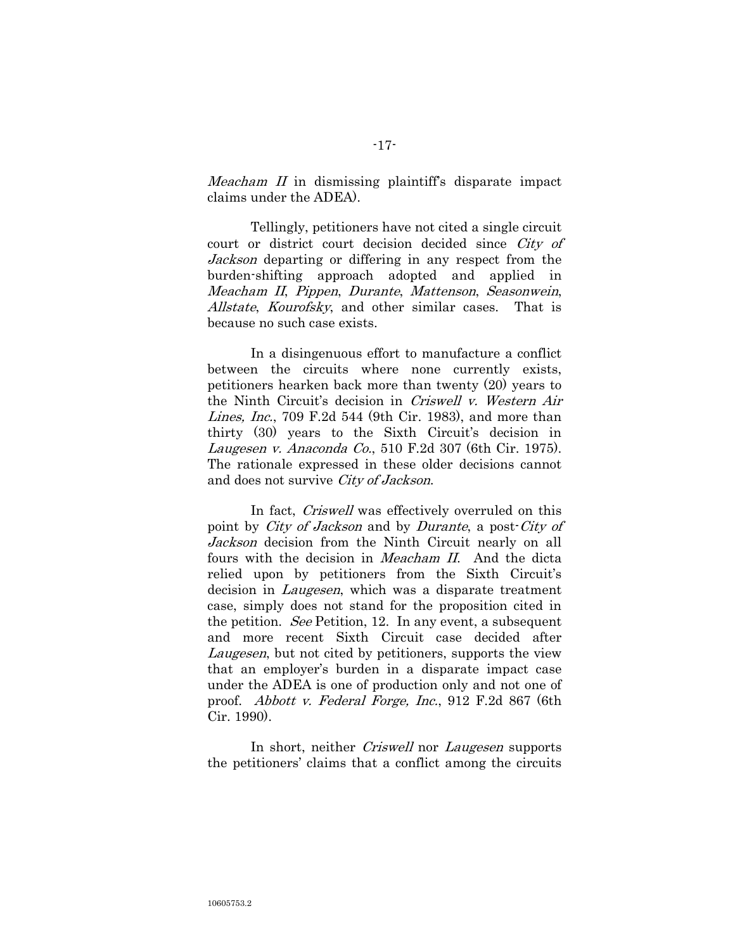*Meacham II* in dismissing plaintiff's disparate impact claims under the ADEA).

Tellingly, petitioners have not cited a single circuit court or district court decision decided since City of Jackson departing or differing in any respect from the burden-shifting approach adopted and applied in Meacham II, Pippen, Durante, Mattenson, Seasonwein, Allstate, Kourofsky, and other similar cases. That is because no such case exists.

In a disingenuous effort to manufacture a conflict between the circuits where none currently exists, petitioners hearken back more than twenty (20) years to the Ninth Circuit's decision in Criswell v. Western Air Lines, Inc., 709 F.2d 544 (9th Cir. 1983), and more than thirty (30) years to the Sixth Circuit's decision in Laugesen v. Anaconda Co., 510 F.2d 307 (6th Cir. 1975). The rationale expressed in these older decisions cannot and does not survive City of Jackson.

In fact, *Criswell* was effectively overruled on this point by *City of Jackson* and by *Durante*, a post-*City of* Jackson decision from the Ninth Circuit nearly on all fours with the decision in *Meacham II*. And the dicta relied upon by petitioners from the Sixth Circuit's decision in *Laugesen*, which was a disparate treatment case, simply does not stand for the proposition cited in the petition. See Petition, 12. In any event, a subsequent and more recent Sixth Circuit case decided after Laugesen, but not cited by petitioners, supports the view that an employer"s burden in a disparate impact case under the ADEA is one of production only and not one of proof. Abbott v. Federal Forge, Inc., 912 F.2d 867 (6th Cir. 1990).

In short, neither *Criswell* nor *Laugesen* supports the petitioners" claims that a conflict among the circuits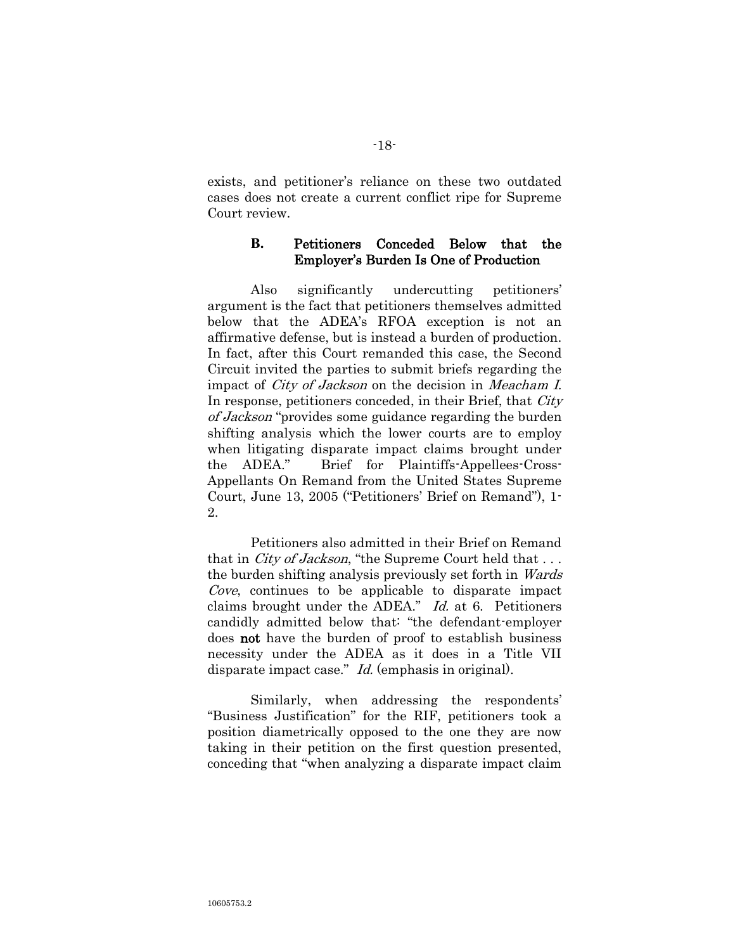exists, and petitioner"s reliance on these two outdated cases does not create a current conflict ripe for Supreme Court review.

## **B.** Petitioners Conceded Below that the Employer"s Burden Is One of Production

Also significantly undercutting petitioners' argument is the fact that petitioners themselves admitted below that the ADEA"s RFOA exception is not an affirmative defense, but is instead a burden of production. In fact, after this Court remanded this case, the Second Circuit invited the parties to submit briefs regarding the impact of *City of Jackson* on the decision in *Meacham I.* In response, petitioners conceded, in their Brief, that *City* of Jackson "provides some guidance regarding the burden shifting analysis which the lower courts are to employ when litigating disparate impact claims brought under the ADEA." Brief for Plaintiffs-Appellees-Cross-Appellants On Remand from the United States Supreme Court, June 13, 2005 ("Petitioners" Brief on Remand"), 1- 2.

Petitioners also admitted in their Brief on Remand that in *City of Jackson*, "the Supreme Court held that ... the burden shifting analysis previously set forth in Wards Cove, continues to be applicable to disparate impact claims brought under the ADEA." Id. at 6. Petitioners candidly admitted below that: "the defendant-employer does not have the burden of proof to establish business necessity under the ADEA as it does in a Title VII disparate impact case." *Id.* (emphasis in original).

Similarly, when addressing the respondents' "Business Justification" for the RIF, petitioners took a position diametrically opposed to the one they are now taking in their petition on the first question presented, conceding that "when analyzing a disparate impact claim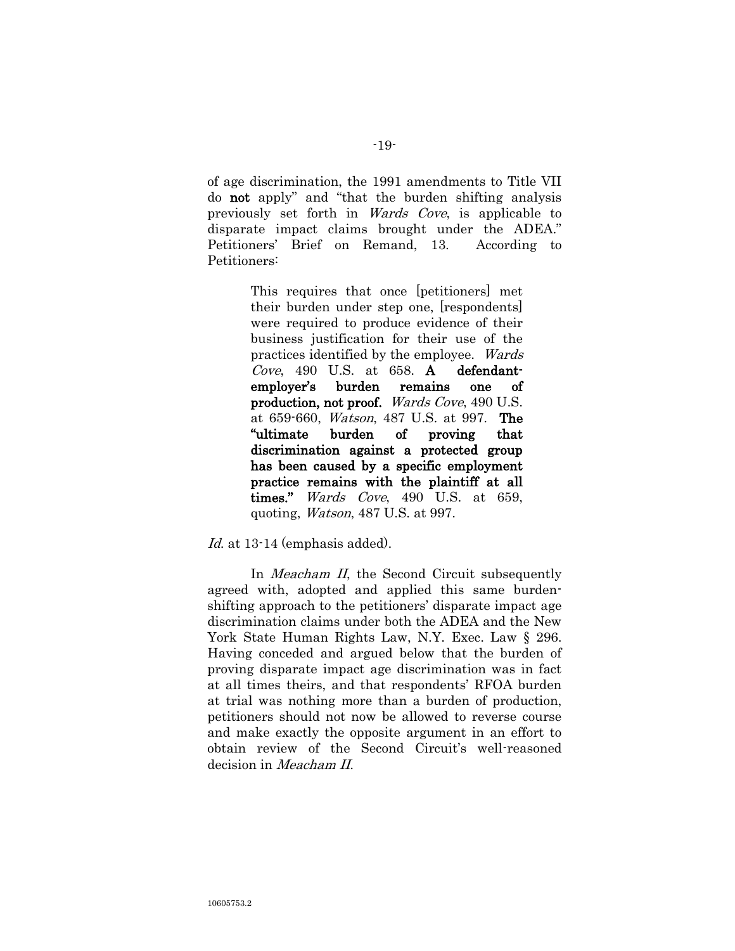of age discrimination, the 1991 amendments to Title VII do not apply" and "that the burden shifting analysis previously set forth in Wards Cove, is applicable to disparate impact claims brought under the ADEA." Petitioners" Brief on Remand, 13. According to Petitioners:

> This requires that once [petitioners] met their burden under step one, [respondents] were required to produce evidence of their business justification for their use of the practices identified by the employee. Wards Cove, 490 U.S. at 658. A defendantemployer"s burden remains one of production, not proof. Wards Cove, 490 U.S. at 659-660, Watson, 487 U.S. at 997. The "ultimate burden of proving that discrimination against a protected group has been caused by a specific employment practice remains with the plaintiff at all times." *Wards Cove*, 490 U.S. at 659, quoting, Watson, 487 U.S. at 997.

Id. at 13-14 (emphasis added).

In *Meacham II*, the Second Circuit subsequently agreed with, adopted and applied this same burdenshifting approach to the petitioners' disparate impact age discrimination claims under both the ADEA and the New York State Human Rights Law, N.Y. Exec. Law § 296. Having conceded and argued below that the burden of proving disparate impact age discrimination was in fact at all times theirs, and that respondents" RFOA burden at trial was nothing more than a burden of production, petitioners should not now be allowed to reverse course and make exactly the opposite argument in an effort to obtain review of the Second Circuit's well-reasoned decision in Meacham II.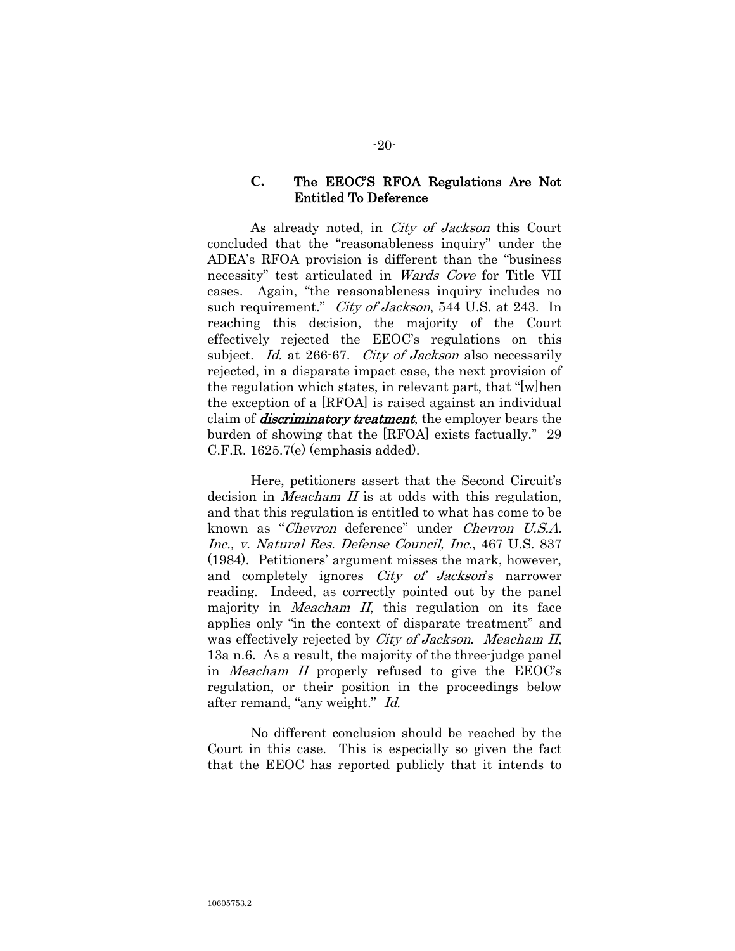### **C.** The EEOC"S RFOA Regulations Are Not Entitled To Deference

As already noted, in City of Jackson this Court concluded that the "reasonableness inquiry" under the ADEA"s RFOA provision is different than the "business necessity" test articulated in Wards Cove for Title VII cases. Again, "the reasonableness inquiry includes no such requirement." *City of Jackson*, 544 U.S. at 243. In reaching this decision, the majority of the Court effectively rejected the EEOC"s regulations on this subject. Id. at 266-67. City of Jackson also necessarily rejected, in a disparate impact case, the next provision of the regulation which states, in relevant part, that "[w]hen the exception of a [RFOA] is raised against an individual claim of *discriminatory treatment*, the employer bears the burden of showing that the [RFOA] exists factually." 29 C.F.R. 1625.7(e) (emphasis added).

Here, petitioners assert that the Second Circuit's decision in *Meacham II* is at odds with this regulation, and that this regulation is entitled to what has come to be known as "Chevron deference" under Chevron U.S.A. Inc., v. Natural Res. Defense Council, Inc., 467 U.S. 837 (1984). Petitioners" argument misses the mark, however, and completely ignores *City of Jackson*'s narrower reading. Indeed, as correctly pointed out by the panel majority in *Meacham II*, this regulation on its face applies only "in the context of disparate treatment" and was effectively rejected by *City of Jackson. Meacham II*, 13a n.6. As a result, the majority of the three-judge panel in Meacham II properly refused to give the EEOC"s regulation, or their position in the proceedings below after remand, "any weight." Id.

No different conclusion should be reached by the Court in this case. This is especially so given the fact that the EEOC has reported publicly that it intends to

#### -20-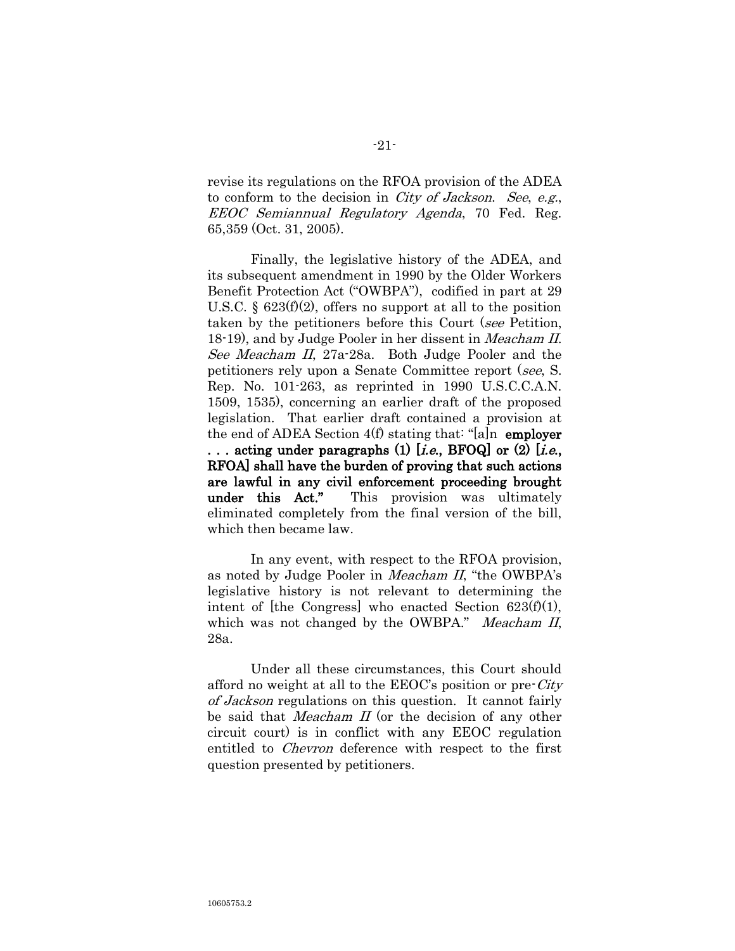revise its regulations on the RFOA provision of the ADEA to conform to the decision in City of Jackson. See, e.g., EEOC Semiannual Regulatory Agenda, 70 Fed. Reg. 65,359 (Oct. 31, 2005).

Finally, the legislative history of the ADEA, and its subsequent amendment in 1990 by the Older Workers Benefit Protection Act ("OWBPA"), codified in part at 29 U.S.C.  $\S$  623(f)(2), offers no support at all to the position taken by the petitioners before this Court (see Petition, 18-19), and by Judge Pooler in her dissent in *Meacham II*. See Meacham II, 27a-28a. Both Judge Pooler and the petitioners rely upon a Senate Committee report (see, S. Rep. No. 101-263, as reprinted in 1990 U.S.C.C.A.N. 1509, 1535), concerning an earlier draft of the proposed legislation. That earlier draft contained a provision at the end of ADEA Section  $4(f)$  stating that: "[a]n employer ... acting under paragraphs (1) [*i.e.*, BFOQ] or (2) [*i.e.*, RFOA] shall have the burden of proving that such actions are lawful in any civil enforcement proceeding brought under this Act." This provision was ultimately eliminated completely from the final version of the bill, which then became law.

In any event, with respect to the RFOA provision, as noted by Judge Pooler in Meacham II, "the OWBPA"s legislative history is not relevant to determining the intent of [the Congress] who enacted Section  $623(f)(1)$ , which was not changed by the OWBPA." Meacham II, 28a.

Under all these circumstances, this Court should afford no weight at all to the  $EEOC$ 's position or pre- $City$ of Jackson regulations on this question. It cannot fairly be said that *Meacham II* (or the decision of any other circuit court) is in conflict with any EEOC regulation entitled to Chevron deference with respect to the first question presented by petitioners.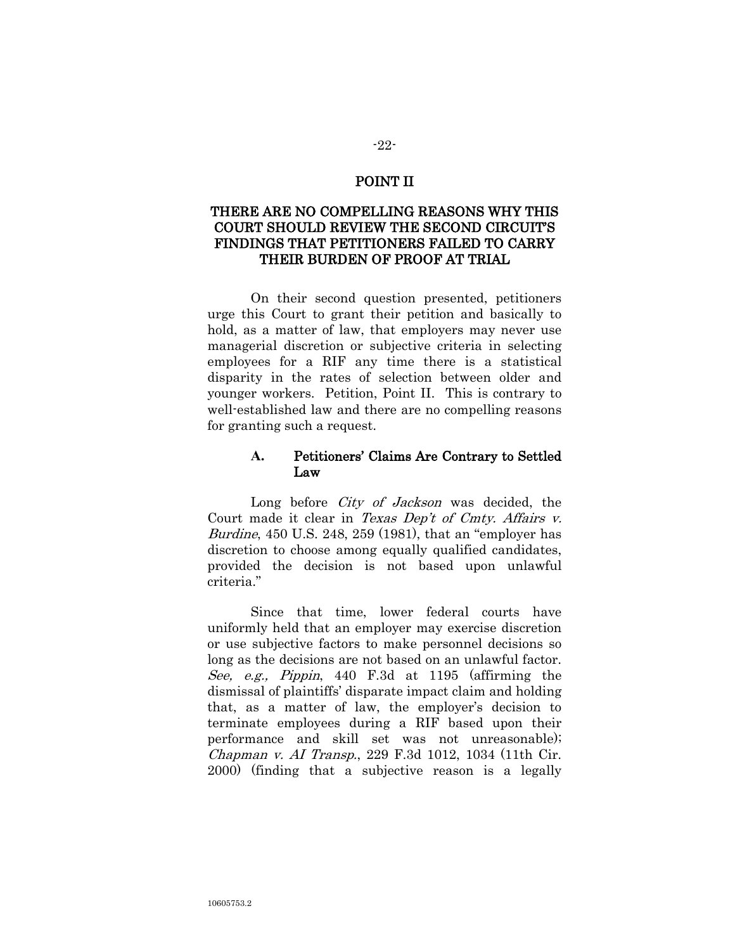### POINT II

# THERE ARE NO COMPELLING REASONS WHY THIS COURT SHOULD REVIEW THE SECOND CIRCUIT"S FINDINGS THAT PETITIONERS FAILED TO CARRY THEIR BURDEN OF PROOF AT TRIAL

On their second question presented, petitioners urge this Court to grant their petition and basically to hold, as a matter of law, that employers may never use managerial discretion or subjective criteria in selecting employees for a RIF any time there is a statistical disparity in the rates of selection between older and younger workers. Petition, Point II. This is contrary to well-established law and there are no compelling reasons for granting such a request.

## **A.** Petitioners" Claims Are Contrary to Settled Law

Long before *City of Jackson* was decided, the Court made it clear in Texas Dep't of Cmty. Affairs v. Burdine, 450 U.S. 248, 259 (1981), that an "employer has discretion to choose among equally qualified candidates, provided the decision is not based upon unlawful criteria."

Since that time, lower federal courts have uniformly held that an employer may exercise discretion or use subjective factors to make personnel decisions so long as the decisions are not based on an unlawful factor. See, e.g., Pippin, 440 F.3d at 1195 (affirming the dismissal of plaintiffs" disparate impact claim and holding that, as a matter of law, the employer"s decision to terminate employees during a RIF based upon their performance and skill set was not unreasonable); Chapman v. AI Transp., 229 F.3d 1012, 1034 (11th Cir. 2000) (finding that a subjective reason is a legally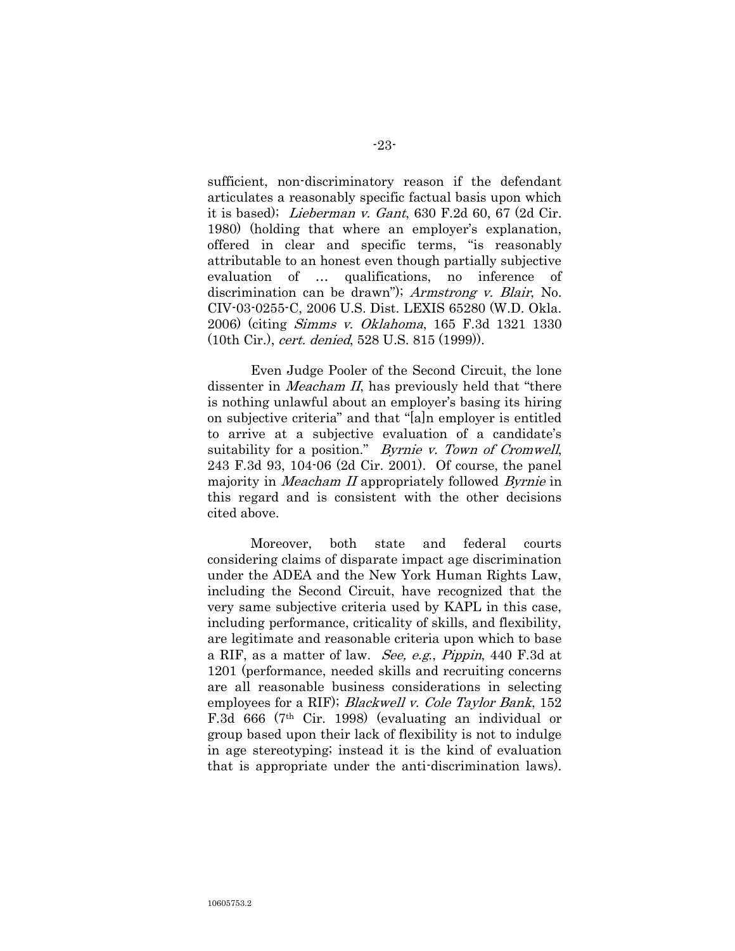sufficient, non-discriminatory reason if the defendant articulates a reasonably specific factual basis upon which it is based); Lieberman v. Gant, 630 F.2d 60, 67 (2d Cir. 1980) (holding that where an employer's explanation, offered in clear and specific terms, "is reasonably attributable to an honest even though partially subjective evaluation of … qualifications, no inference of discrimination can be drawn"); Armstrong v. Blair, No. CIV-03-0255-C, 2006 U.S. Dist. LEXIS 65280 (W.D. Okla. 2006) (citing Simms v. Oklahoma, 165 F.3d 1321 1330 (10th Cir.), cert. denied, 528 U.S. 815 (1999)).

Even Judge Pooler of the Second Circuit, the lone dissenter in *Meacham II*, has previously held that "there" is nothing unlawful about an employer's basing its hiring on subjective criteria" and that "[a]n employer is entitled to arrive at a subjective evaluation of a candidate"s suitability for a position." Byrnie v. Town of Cromwell, 243 F.3d 93, 104-06 (2d Cir. 2001). Of course, the panel majority in *Meacham II* appropriately followed *Byrnie* in this regard and is consistent with the other decisions cited above.

Moreover, both state and federal courts considering claims of disparate impact age discrimination under the ADEA and the New York Human Rights Law, including the Second Circuit, have recognized that the very same subjective criteria used by KAPL in this case, including performance, criticality of skills, and flexibility, are legitimate and reasonable criteria upon which to base a RIF, as a matter of law. See, e.g., Pippin, 440 F.3d at 1201 (performance, needed skills and recruiting concerns are all reasonable business considerations in selecting employees for a RIF); *Blackwell v. Cole Taylor Bank*, 152 F.3d 666 (7th Cir. 1998) (evaluating an individual or group based upon their lack of flexibility is not to indulge in age stereotyping; instead it is the kind of evaluation that is appropriate under the anti-discrimination laws).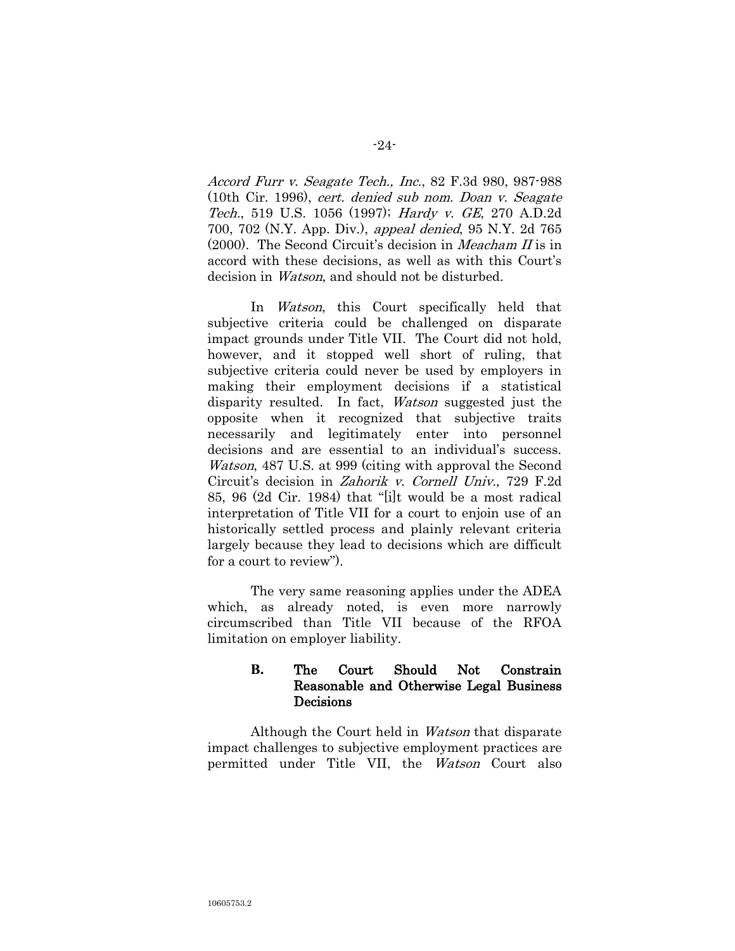Accord Furr v. Seagate Tech., Inc., 82 F.3d 980, 987-988 (10th Cir. 1996), cert. denied sub nom. Doan v. Seagate Tech., 519 U.S. 1056 (1997); Hardy v. GE, 270 A.D.2d 700, 702 (N.Y. App. Div.), appeal denied, 95 N.Y. 2d 765 (2000). The Second Circuit's decision in *Meacham II* is in accord with these decisions, as well as with this Court's decision in Watson, and should not be disturbed.

In Watson, this Court specifically held that subjective criteria could be challenged on disparate impact grounds under Title VII. The Court did not hold, however, and it stopped well short of ruling, that subjective criteria could never be used by employers in making their employment decisions if a statistical disparity resulted. In fact, Watson suggested just the opposite when it recognized that subjective traits necessarily and legitimately enter into personnel decisions and are essential to an individual's success. Watson, 487 U.S. at 999 (citing with approval the Second Circuit"s decision in Zahorik v. Cornell Univ., 729 F.2d 85, 96 (2d Cir. 1984) that "[i]t would be a most radical interpretation of Title VII for a court to enjoin use of an historically settled process and plainly relevant criteria largely because they lead to decisions which are difficult for a court to review").

The very same reasoning applies under the ADEA which, as already noted, is even more narrowly circumscribed than Title VII because of the RFOA limitation on employer liability.

# **B.** The Court Should Not Constrain Reasonable and Otherwise Legal Business Decisions

Although the Court held in Watson that disparate impact challenges to subjective employment practices are permitted under Title VII, the Watson Court also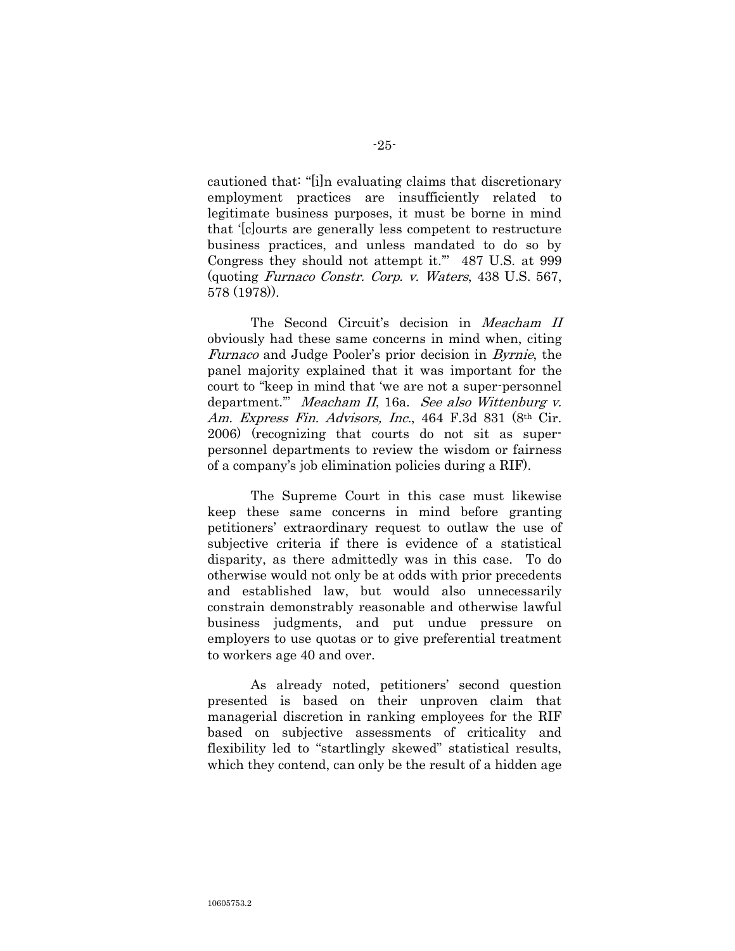cautioned that: "[i]n evaluating claims that discretionary employment practices are insufficiently related to legitimate business purposes, it must be borne in mind that "[c]ourts are generally less competent to restructure business practices, and unless mandated to do so by Congress they should not attempt it."" 487 U.S. at 999 (quoting Furnaco Constr. Corp. v. Waters, 438 U.S. 567, 578 (1978)).

The Second Circuit's decision in Meacham II obviously had these same concerns in mind when, citing Furnaco and Judge Pooler"s prior decision in Byrnie, the panel majority explained that it was important for the court to "keep in mind that "we are not a super-personnel department."" Meacham II, 16a. See also Wittenburg v. Am. Express Fin. Advisors, Inc., 464 F.3d 831 (8th Cir. 2006) (recognizing that courts do not sit as superpersonnel departments to review the wisdom or fairness of a company"s job elimination policies during a RIF).

The Supreme Court in this case must likewise keep these same concerns in mind before granting petitioners" extraordinary request to outlaw the use of subjective criteria if there is evidence of a statistical disparity, as there admittedly was in this case. To do otherwise would not only be at odds with prior precedents and established law, but would also unnecessarily constrain demonstrably reasonable and otherwise lawful business judgments, and put undue pressure on employers to use quotas or to give preferential treatment to workers age 40 and over.

As already noted, petitioners' second question presented is based on their unproven claim that managerial discretion in ranking employees for the RIF based on subjective assessments of criticality and flexibility led to "startlingly skewed" statistical results, which they contend, can only be the result of a hidden age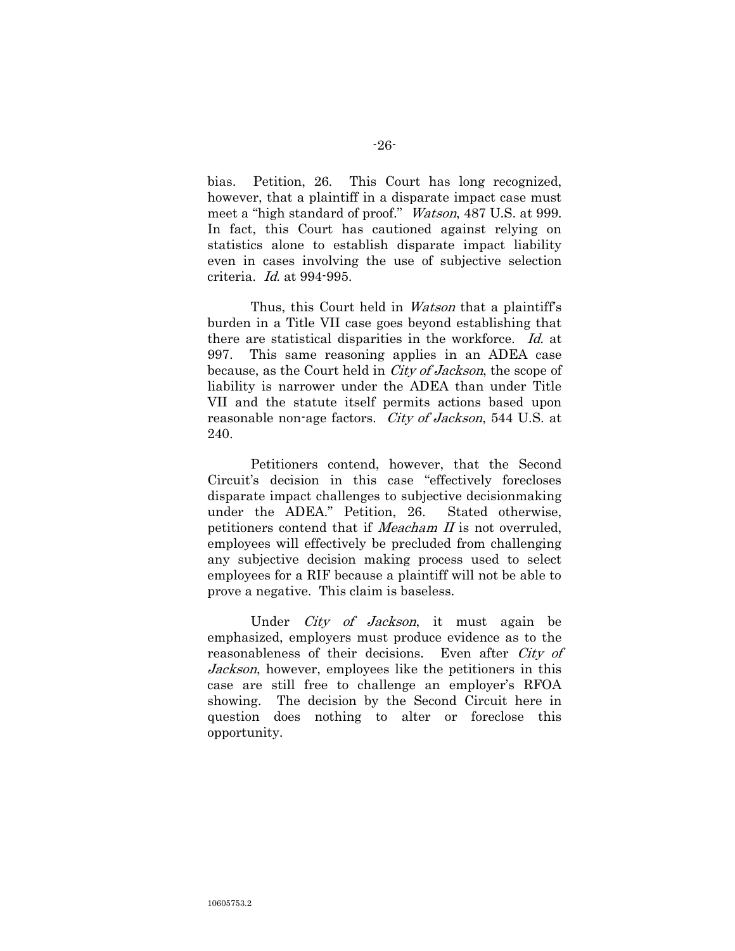bias. Petition, 26. This Court has long recognized, however, that a plaintiff in a disparate impact case must meet a "high standard of proof." Watson, 487 U.S. at 999. In fact, this Court has cautioned against relying on statistics alone to establish disparate impact liability even in cases involving the use of subjective selection criteria. Id. at 994-995.

Thus, this Court held in *Watson* that a plaintiff's burden in a Title VII case goes beyond establishing that there are statistical disparities in the workforce. Id. at 997. This same reasoning applies in an ADEA case because, as the Court held in *City of Jackson*, the scope of liability is narrower under the ADEA than under Title VII and the statute itself permits actions based upon reasonable non-age factors. *City of Jackson*, 544 U.S. at 240.

Petitioners contend, however, that the Second Circuit"s decision in this case "effectively forecloses disparate impact challenges to subjective decisionmaking under the ADEA." Petition, 26. Stated otherwise, petitioners contend that if Meacham II is not overruled, employees will effectively be precluded from challenging any subjective decision making process used to select employees for a RIF because a plaintiff will not be able to prove a negative. This claim is baseless.

Under City of Jackson, it must again be emphasized, employers must produce evidence as to the reasonableness of their decisions. Even after City of Jackson, however, employees like the petitioners in this case are still free to challenge an employer's RFOA showing. The decision by the Second Circuit here in question does nothing to alter or foreclose this opportunity.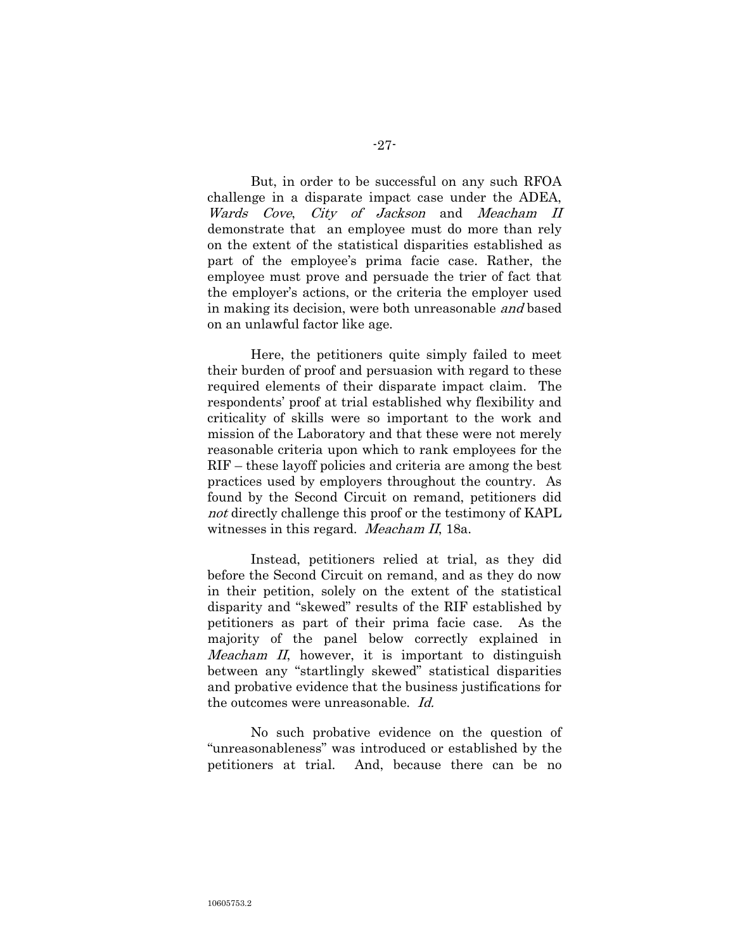But, in order to be successful on any such RFOA challenge in a disparate impact case under the ADEA, Wards Cove, City of Jackson and Meacham II demonstrate that an employee must do more than rely on the extent of the statistical disparities established as part of the employee's prima facie case. Rather, the employee must prove and persuade the trier of fact that the employer"s actions, or the criteria the employer used in making its decision, were both unreasonable and based on an unlawful factor like age.

Here, the petitioners quite simply failed to meet their burden of proof and persuasion with regard to these required elements of their disparate impact claim. The respondents" proof at trial established why flexibility and criticality of skills were so important to the work and mission of the Laboratory and that these were not merely reasonable criteria upon which to rank employees for the RIF – these layoff policies and criteria are among the best practices used by employers throughout the country. As found by the Second Circuit on remand, petitioners did not directly challenge this proof or the testimony of KAPL witnesses in this regard. *Meacham II*, 18a.

Instead, petitioners relied at trial, as they did before the Second Circuit on remand, and as they do now in their petition, solely on the extent of the statistical disparity and "skewed" results of the RIF established by petitioners as part of their prima facie case. As the majority of the panel below correctly explained in Meacham II, however, it is important to distinguish between any "startlingly skewed" statistical disparities and probative evidence that the business justifications for the outcomes were unreasonable. Id.

No such probative evidence on the question of "unreasonableness" was introduced or established by the petitioners at trial. And, because there can be no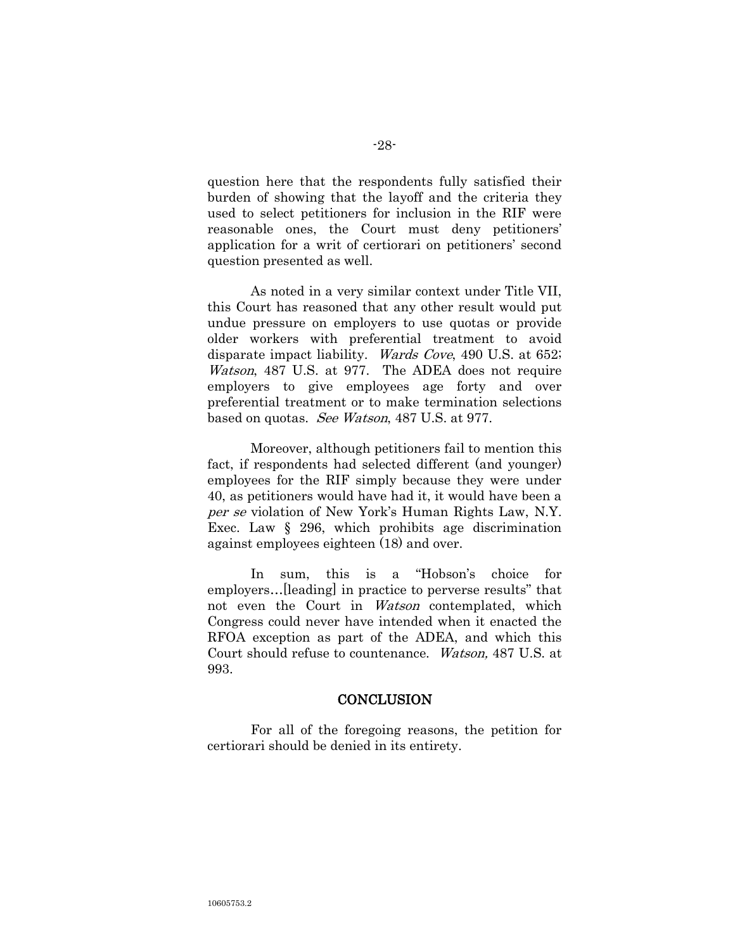question here that the respondents fully satisfied their burden of showing that the layoff and the criteria they used to select petitioners for inclusion in the RIF were reasonable ones, the Court must deny petitioners' application for a writ of certiorari on petitioners' second question presented as well.

As noted in a very similar context under Title VII, this Court has reasoned that any other result would put undue pressure on employers to use quotas or provide older workers with preferential treatment to avoid disparate impact liability. Wards Cove, 490 U.S. at 652; Watson, 487 U.S. at 977. The ADEA does not require employers to give employees age forty and over preferential treatment or to make termination selections based on quotas. See Watson, 487 U.S. at 977.

Moreover, although petitioners fail to mention this fact, if respondents had selected different (and younger) employees for the RIF simply because they were under 40, as petitioners would have had it, it would have been a per se violation of New York's Human Rights Law, N.Y. Exec. Law § 296, which prohibits age discrimination against employees eighteen (18) and over.

In sum, this is a "Hobson"s choice for employers…[leading] in practice to perverse results" that not even the Court in *Watson* contemplated, which Congress could never have intended when it enacted the RFOA exception as part of the ADEA, and which this Court should refuse to countenance. Watson, 487 U.S. at 993.

#### **CONCLUSION**

For all of the foregoing reasons, the petition for certiorari should be denied in its entirety.